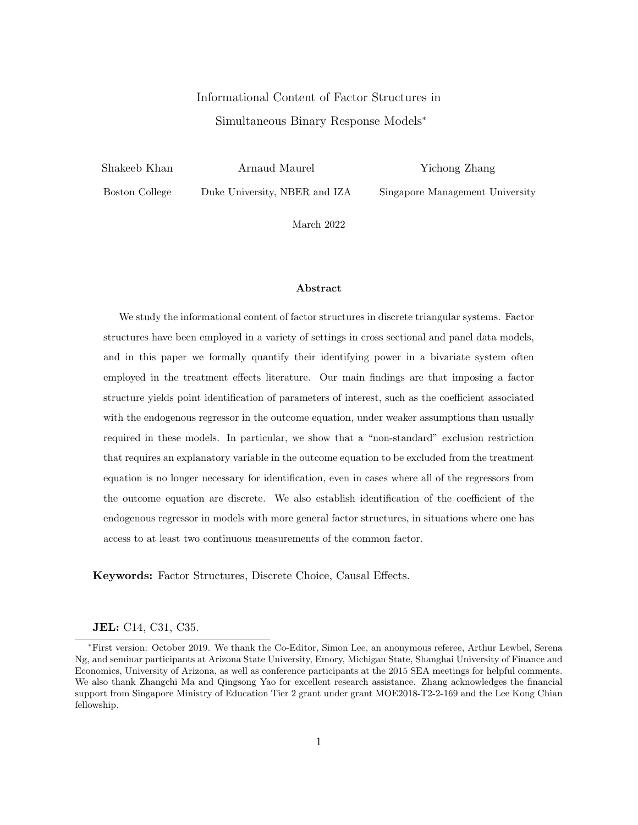# Informational Content of Factor Structures in Simultaneous Binary Response Models<sup>∗</sup>

Shakeeb Khan

Arnaud Maurel

Yichong Zhang

Boston College

Duke University, NBER and IZA

Singapore Management University

March 2022

#### Abstract

We study the informational content of factor structures in discrete triangular systems. Factor structures have been employed in a variety of settings in cross sectional and panel data models, and in this paper we formally quantify their identifying power in a bivariate system often employed in the treatment effects literature. Our main findings are that imposing a factor structure yields point identification of parameters of interest, such as the coefficient associated with the endogenous regressor in the outcome equation, under weaker assumptions than usually required in these models. In particular, we show that a "non-standard" exclusion restriction that requires an explanatory variable in the outcome equation to be excluded from the treatment equation is no longer necessary for identification, even in cases where all of the regressors from the outcome equation are discrete. We also establish identification of the coefficient of the endogenous regressor in models with more general factor structures, in situations where one has access to at least two continuous measurements of the common factor.

Keywords: Factor Structures, Discrete Choice, Causal Effects.

JEL: C14, C31, C35.

<sup>∗</sup>First version: October 2019. We thank the Co-Editor, Simon Lee, an anonymous referee, Arthur Lewbel, Serena Ng, and seminar participants at Arizona State University, Emory, Michigan State, Shanghai University of Finance and Economics, University of Arizona, as well as conference participants at the 2015 SEA meetings for helpful comments. We also thank Zhangchi Ma and Qingsong Yao for excellent research assistance. Zhang acknowledges the financial support from Singapore Ministry of Education Tier 2 grant under grant MOE2018-T2-2-169 and the Lee Kong Chian fellowship.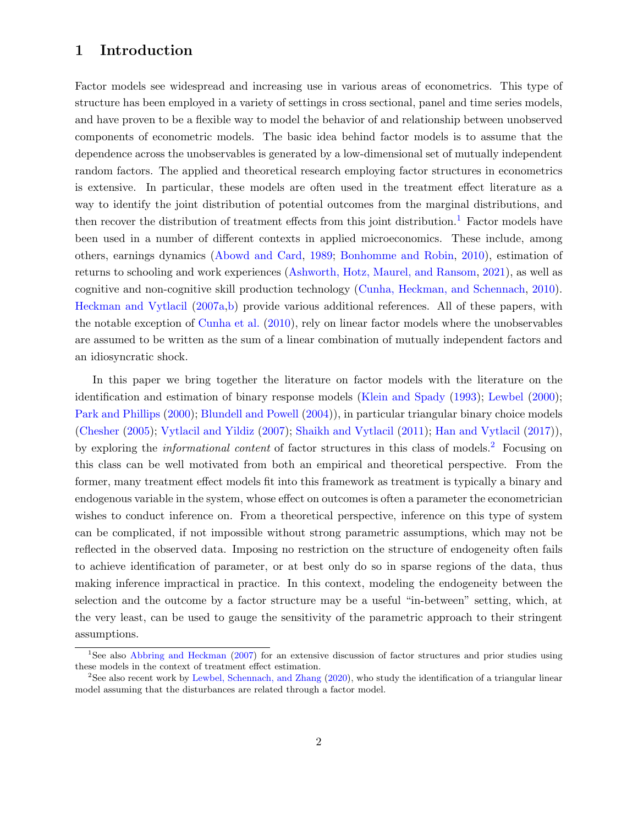### 1 Introduction

Factor models see widespread and increasing use in various areas of econometrics. This type of structure has been employed in a variety of settings in cross sectional, panel and time series models, and have proven to be a flexible way to model the behavior of and relationship between unobserved components of econometric models. The basic idea behind factor models is to assume that the dependence across the unobservables is generated by a low-dimensional set of mutually independent random factors. The applied and theoretical research employing factor structures in econometrics is extensive. In particular, these models are often used in the treatment effect literature as a way to identify the joint distribution of potential outcomes from the marginal distributions, and then recover the distribution of treatment effects from this joint distribution.<sup>[1](#page-1-0)</sup> Factor models have been used in a number of different contexts in applied microeconomics. These include, among others, earnings dynamics [\(Abowd and Card,](#page-24-0) [1989;](#page-24-0) [Bonhomme and Robin,](#page-24-1) [2010\)](#page-24-1), estimation of returns to schooling and work experiences [\(Ashworth, Hotz, Maurel, and Ransom,](#page-24-2) [2021\)](#page-24-2), as well as cognitive and non-cognitive skill production technology [\(Cunha, Heckman, and Schennach,](#page-25-0) [2010\)](#page-25-0). [Heckman and Vytlacil](#page-25-1) [\(2007a,](#page-25-1)[b\)](#page-25-2) provide various additional references. All of these papers, with the notable exception of [Cunha et al.](#page-25-0) [\(2010\)](#page-25-0), rely on linear factor models where the unobservables are assumed to be written as the sum of a linear combination of mutually independent factors and an idiosyncratic shock.

In this paper we bring together the literature on factor models with the literature on the identification and estimation of binary response models [\(Klein and Spady](#page-26-0) [\(1993\)](#page-26-0); [Lewbel](#page-26-1) [\(2000\)](#page-26-1); [Park and Phillips](#page-26-2) [\(2000\)](#page-26-2); [Blundell and Powell](#page-24-3) [\(2004\)](#page-24-3)), in particular triangular binary choice models [\(Chesher](#page-24-4) [\(2005\)](#page-24-4); [Vytlacil and Yildiz](#page-26-3) [\(2007\)](#page-26-3); [Shaikh and Vytlacil](#page-26-4) [\(2011\)](#page-26-4); [Han and Vytlacil](#page-25-3) [\(2017\)](#page-25-3)), by exploring the *informational content* of factor structures in this class of models.<sup>[2](#page-1-1)</sup> Focusing on this class can be well motivated from both an empirical and theoretical perspective. From the former, many treatment effect models fit into this framework as treatment is typically a binary and endogenous variable in the system, whose effect on outcomes is often a parameter the econometrician wishes to conduct inference on. From a theoretical perspective, inference on this type of system can be complicated, if not impossible without strong parametric assumptions, which may not be reflected in the observed data. Imposing no restriction on the structure of endogeneity often fails to achieve identification of parameter, or at best only do so in sparse regions of the data, thus making inference impractical in practice. In this context, modeling the endogeneity between the selection and the outcome by a factor structure may be a useful "in-between" setting, which, at the very least, can be used to gauge the sensitivity of the parametric approach to their stringent assumptions.

<span id="page-1-0"></span><sup>&</sup>lt;sup>1</sup>See also [Abbring and Heckman](#page-24-5) [\(2007\)](#page-24-5) for an extensive discussion of factor structures and prior studies using these models in the context of treatment effect estimation.

<span id="page-1-1"></span><sup>&</sup>lt;sup>2</sup>See also recent work by [Lewbel, Schennach, and Zhang](#page-26-5) [\(2020\)](#page-26-5), who study the identification of a triangular linear model assuming that the disturbances are related through a factor model.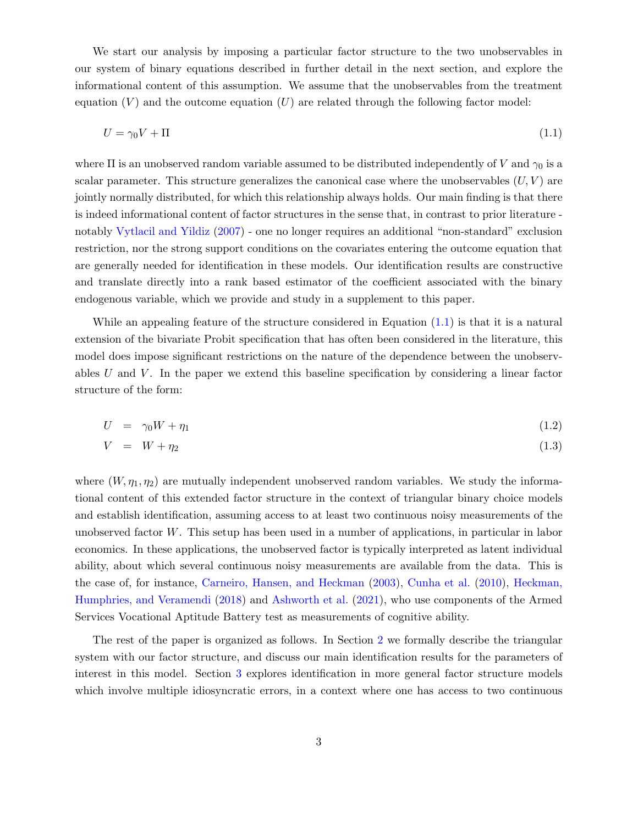We start our analysis by imposing a particular factor structure to the two unobservables in our system of binary equations described in further detail in the next section, and explore the informational content of this assumption. We assume that the unobservables from the treatment equation  $(V)$  and the outcome equation  $(U)$  are related through the following factor model:

<span id="page-2-0"></span>
$$
U = \gamma_0 V + \Pi \tag{1.1}
$$

where  $\Pi$  is an unobserved random variable assumed to be distributed independently of V and  $\gamma_0$  is a scalar parameter. This structure generalizes the canonical case where the unobservables  $(U, V)$  are jointly normally distributed, for which this relationship always holds. Our main finding is that there is indeed informational content of factor structures in the sense that, in contrast to prior literature notably [Vytlacil and Yildiz](#page-26-3) [\(2007\)](#page-26-3) - one no longer requires an additional "non-standard" exclusion restriction, nor the strong support conditions on the covariates entering the outcome equation that are generally needed for identification in these models. Our identification results are constructive and translate directly into a rank based estimator of the coefficient associated with the binary endogenous variable, which we provide and study in a supplement to this paper.

While an appealing feature of the structure considered in Equation [\(1.1\)](#page-2-0) is that it is a natural extension of the bivariate Probit specification that has often been considered in the literature, this model does impose significant restrictions on the nature of the dependence between the unobservables U and V. In the paper we extend this baseline specification by considering a linear factor structure of the form:

$$
U = \gamma_0 W + \eta_1 \tag{1.2}
$$

$$
V = W + \eta_2 \tag{1.3}
$$

where  $(W, \eta_1, \eta_2)$  are mutually independent unobserved random variables. We study the informational content of this extended factor structure in the context of triangular binary choice models and establish identification, assuming access to at least two continuous noisy measurements of the unobserved factor W. This setup has been used in a number of applications, in particular in labor economics. In these applications, the unobserved factor is typically interpreted as latent individual ability, about which several continuous noisy measurements are available from the data. This is the case of, for instance, [Carneiro, Hansen, and Heckman](#page-24-6) [\(2003\)](#page-24-6), [Cunha et al.](#page-25-0) [\(2010\)](#page-25-0), [Heckman,](#page-25-4) [Humphries, and Veramendi](#page-25-4) [\(2018\)](#page-25-4) and [Ashworth et al.](#page-24-2) [\(2021\)](#page-24-2), who use components of the Armed Services Vocational Aptitude Battery test as measurements of cognitive ability.

The rest of the paper is organized as follows. In Section [2](#page-3-0) we formally describe the triangular system with our factor structure, and discuss our main identification results for the parameters of interest in this model. Section [3](#page-9-0) explores identification in more general factor structure models which involve multiple idiosyncratic errors, in a context where one has access to two continuous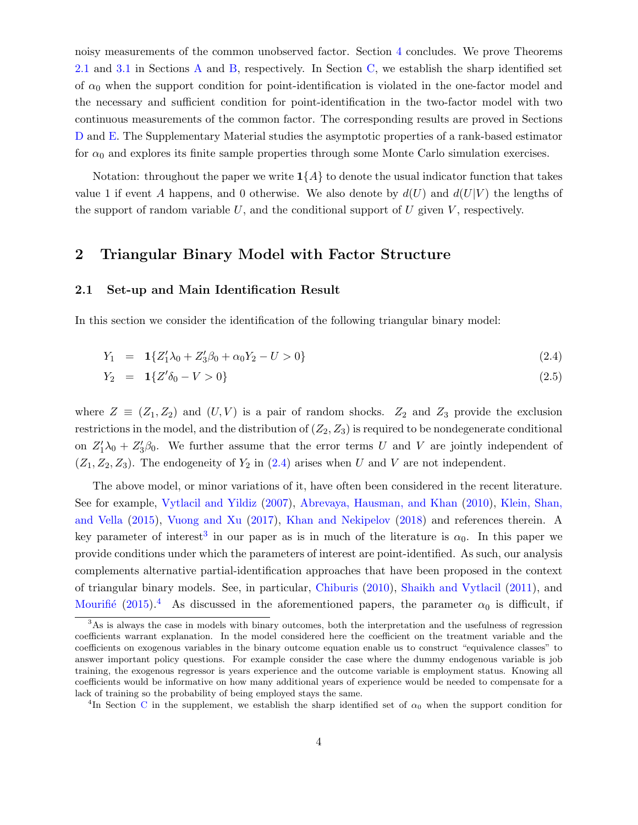noisy measurements of the common unobserved factor. Section [4](#page-13-0) concludes. We prove Theorems [2.1](#page-5-0) and [3.1](#page-11-0) in Sections [A](#page-14-0) and [B,](#page-15-0) respectively. In Section [C,](#page-18-0) we establish the sharp identified set of  $\alpha_0$  when the support condition for point-identification is violated in the one-factor model and the necessary and sufficient condition for point-identification in the two-factor model with two continuous measurements of the common factor. The corresponding results are proved in Sections [D](#page-21-0) and [E.](#page-22-0) The Supplementary Material studies the asymptotic properties of a rank-based estimator for  $\alpha_0$  and explores its finite sample properties through some Monte Carlo simulation exercises.

Notation: throughout the paper we write  $1\{A\}$  to denote the usual indicator function that takes value 1 if event A happens, and 0 otherwise. We also denote by  $d(U)$  and  $d(U|V)$  the lengths of the support of random variable  $U$ , and the conditional support of  $U$  given  $V$ , respectively.

### <span id="page-3-0"></span>2 Triangular Binary Model with Factor Structure

#### <span id="page-3-4"></span>2.1 Set-up and Main Identification Result

In this section we consider the identification of the following triangular binary model:

<span id="page-3-1"></span>
$$
Y_1 = \mathbf{1}\{Z_1'\lambda_0 + Z_3'\beta_0 + \alpha_0Y_2 - U > 0\} \tag{2.4}
$$

$$
Y_2 = 1\{Z'\delta_0 - V > 0\} \tag{2.5}
$$

where  $Z \equiv (Z_1, Z_2)$  and  $(U, V)$  is a pair of random shocks.  $Z_2$  and  $Z_3$  provide the exclusion restrictions in the model, and the distribution of  $(Z_2, Z_3)$  is required to be nondegenerate conditional on  $Z_1'\lambda_0 + Z_3'\beta_0$ . We further assume that the error terms U and V are jointly independent of  $(Z_1, Z_2, Z_3)$ . The endogeneity of  $Y_2$  in  $(2.4)$  arises when U and V are not independent.

The above model, or minor variations of it, have often been considered in the recent literature. See for example, [Vytlacil and Yildiz](#page-26-3) [\(2007\)](#page-26-3), [Abrevaya, Hausman, and Khan](#page-24-7) [\(2010\)](#page-24-7), [Klein, Shan,](#page-26-6) [and Vella](#page-26-6) [\(2015\)](#page-26-6), [Vuong and Xu](#page-26-7) [\(2017\)](#page-26-7), [Khan and Nekipelov](#page-25-5) [\(2018\)](#page-25-5) and references therein. A key parameter of interest<sup>[3](#page-3-2)</sup> in our paper as is in much of the literature is  $\alpha_0$ . In this paper we provide conditions under which the parameters of interest are point-identified. As such, our analysis complements alternative partial-identification approaches that have been proposed in the context of triangular binary models. See, in particular, [Chiburis](#page-24-8) [\(2010\)](#page-24-8), [Shaikh and Vytlacil](#page-26-4) [\(2011\)](#page-26-4), and Mourifié [\(2015\)](#page-26-8).<sup>[4](#page-3-3)</sup> As discussed in the aforementioned papers, the parameter  $\alpha_0$  is difficult, if

<span id="page-3-2"></span><sup>&</sup>lt;sup>3</sup>As is always the case in models with binary outcomes, both the interpretation and the usefulness of regression coefficients warrant explanation. In the model considered here the coefficient on the treatment variable and the coefficients on exogenous variables in the binary outcome equation enable us to construct "equivalence classes" to answer important policy questions. For example consider the case where the dummy endogenous variable is job training, the exogenous regressor is years experience and the outcome variable is employment status. Knowing all coefficients would be informative on how many additional years of experience would be needed to compensate for a lack of training so the probability of being employed stays the same.

<span id="page-3-3"></span><sup>&</sup>lt;sup>4</sup>In Section [C](#page-18-0) in the supplement, we establish the sharp identified set of  $\alpha_0$  when the support condition for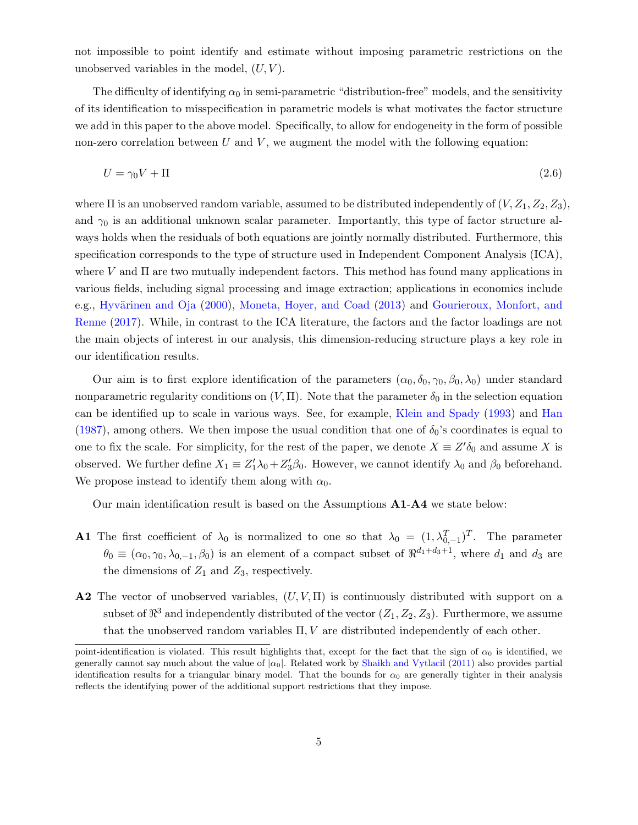not impossible to point identify and estimate without imposing parametric restrictions on the unobserved variables in the model,  $(U, V)$ .

The difficulty of identifying  $\alpha_0$  in semi-parametric "distribution-free" models, and the sensitivity of its identification to misspecification in parametric models is what motivates the factor structure we add in this paper to the above model. Specifically, to allow for endogeneity in the form of possible non-zero correlation between  $U$  and  $V$ , we augment the model with the following equation:

<span id="page-4-0"></span>
$$
U = \gamma_0 V + \Pi \tag{2.6}
$$

where  $\Pi$  is an unobserved random variable, assumed to be distributed independently of  $(V, Z_1, Z_2, Z_3)$ , and  $\gamma_0$  is an additional unknown scalar parameter. Importantly, this type of factor structure always holds when the residuals of both equations are jointly normally distributed. Furthermore, this specification corresponds to the type of structure used in Independent Component Analysis (ICA), where  $V$  and  $\Pi$  are two mutually independent factors. This method has found many applications in various fields, including signal processing and image extraction; applications in economics include e.g., Hyvärinen and Oja [\(2000\)](#page-25-6), [Moneta, Hoyer, and Coad](#page-26-9) [\(2013\)](#page-26-9) and [Gourieroux, Monfort, and](#page-25-7) [Renne](#page-25-7) [\(2017\)](#page-25-7). While, in contrast to the ICA literature, the factors and the factor loadings are not the main objects of interest in our analysis, this dimension-reducing structure plays a key role in our identification results.

Our aim is to first explore identification of the parameters  $(\alpha_0, \delta_0, \gamma_0, \beta_0, \lambda_0)$  under standard nonparametric regularity conditions on  $(V,\Pi)$ . Note that the parameter  $\delta_0$  in the selection equation can be identified up to scale in various ways. See, for example, [Klein and Spady](#page-26-0) [\(1993\)](#page-26-0) and [Han](#page-25-8) [\(1987\)](#page-25-8), among others. We then impose the usual condition that one of  $\delta_0$ 's coordinates is equal to one to fix the scale. For simplicity, for the rest of the paper, we denote  $X \equiv Z' \delta_0$  and assume X is observed. We further define  $X_1 \equiv Z_1' \lambda_0 + Z_3' \beta_0$ . However, we cannot identify  $\lambda_0$  and  $\beta_0$  beforehand. We propose instead to identify them along with  $\alpha_0$ .

Our main identification result is based on the Assumptions A1-A4 we state below:

- **A1** The first coefficient of  $\lambda_0$  is normalized to one so that  $\lambda_0 = (1, \lambda_{0,-1}^T)^T$ . The parameter  $\theta_0 \equiv (\alpha_0, \gamma_0, \lambda_{0,-1}, \beta_0)$  is an element of a compact subset of  $\Re^{d_1+d_3+1}$ , where  $d_1$  and  $d_3$  are the dimensions of  $Z_1$  and  $Z_3$ , respectively.
- **A2** The vector of unobserved variables,  $(U, V, \Pi)$  is continuously distributed with support on a subset of  $\mathbb{R}^3$  and independently distributed of the vector  $(Z_1, Z_2, Z_3)$ . Furthermore, we assume that the unobserved random variables  $\Pi, V$  are distributed independently of each other.

point-identification is violated. This result highlights that, except for the fact that the sign of  $\alpha_0$  is identified, we generally cannot say much about the value of  $|\alpha_0|$ . Related work by [Shaikh and Vytlacil](#page-26-4) [\(2011\)](#page-26-4) also provides partial identification results for a triangular binary model. That the bounds for  $\alpha_0$  are generally tighter in their analysis reflects the identifying power of the additional support restrictions that they impose.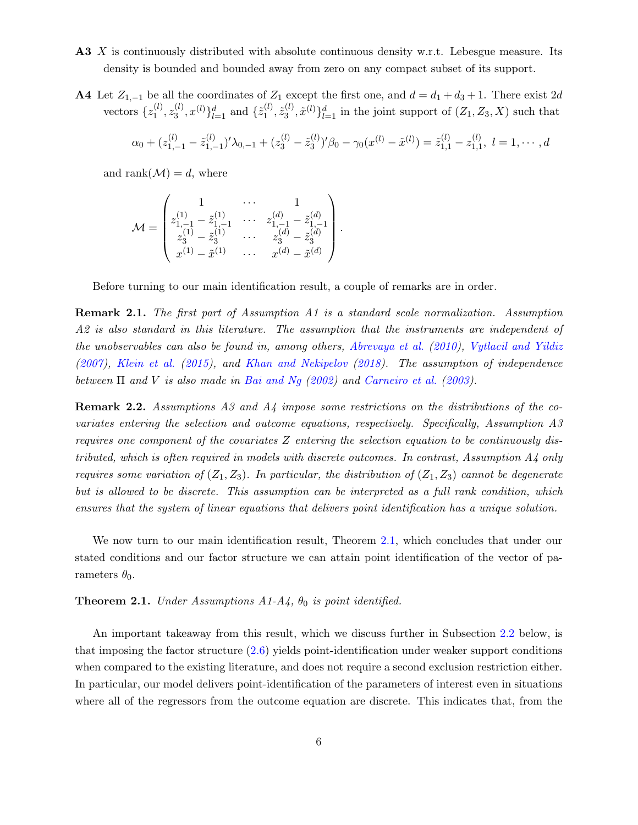- A3 X is continuously distributed with absolute continuous density w.r.t. Lebesgue measure. Its density is bounded and bounded away from zero on any compact subset of its support.
- A4 Let  $Z_{1,-1}$  be all the coordinates of  $Z_1$  except the first one, and  $d = d_1 + d_3 + 1$ . There exist 2d vectors  $\{z_1^{(l)}\}$  $\mathbf{z}_1^{(l)}, \mathbf{z}_3^{(l)}$  $\{(\ell), x^{(l)}\}_{l=1}^d$  and  $\{z_1^{(l)}\}$  $\tilde{z}_3^{(l)}, \tilde{z}_3^{(l)}$  $\{a_3^{(l)}, \tilde{x}^{(l)}\}_{l=1}^d$  in the joint support of  $(Z_1, Z_3, X)$  such that  $\alpha_0 + (z_{1,-1}^{(l)} - \tilde{z}_{1,-}^{(l)}$  $(z_{1,-1}^{(l)})' \lambda_{0,-1} + (z_{3}^{(l)} - \tilde{z}_{3}^{(l)})$  $(\bar{x}_3^{(l)})'\beta_0 - \gamma_0(x^{(l)}-\tilde{x}^{(l)}) = \tilde{z}_{1,1}^{(l)} - z_{1,1}^{(l)}$  $\binom{l}{1,1}, l = 1, \cdots, d$

and rank $(M) = d$ , where

$$
\mathcal{M} = \begin{pmatrix} 1 & \cdots & 1 \\ z_{1,-1}^{(1)} - \tilde{z}_{1,-1}^{(1)} & \cdots & z_{1,-1}^{(d)} - \tilde{z}_{1,-1}^{(d)} \\ z_{3}^{(1)} - \tilde{z}_{3}^{(1)} & \cdots & z_{3}^{(d)} - \tilde{z}_{3}^{(d)} \\ x^{(1)} - \tilde{x}^{(1)} & \cdots & x^{(d)} - \tilde{x}^{(d)} \end{pmatrix}.
$$

Before turning to our main identification result, a couple of remarks are in order.

Remark 2.1. The first part of Assumption A1 is a standard scale normalization. Assumption A2 is also standard in this literature. The assumption that the instruments are independent of the unobservables can also be found in, among others, [Abrevaya et al.](#page-24-7) [\(2010\)](#page-24-7), [Vytlacil and Yildiz](#page-26-3) [\(2007\)](#page-26-3), [Klein et al.](#page-26-6) [\(2015\)](#page-26-6), and [Khan and Nekipelov](#page-25-5) [\(2018\)](#page-25-5). The assumption of independence between  $\Pi$  and V is also made in [Bai and Ng](#page-24-9) [\(2002\)](#page-24-9) and [Carneiro et al.](#page-24-6) [\(2003\)](#page-24-6).

<span id="page-5-1"></span>**Remark 2.2.** Assumptions A3 and A4 impose some restrictions on the distributions of the covariates entering the selection and outcome equations, respectively. Specifically, Assumption A3 requires one component of the covariates Z entering the selection equation to be continuously distributed, which is often required in models with discrete outcomes. In contrast, Assumption A4 only requires some variation of  $(Z_1, Z_3)$ . In particular, the distribution of  $(Z_1, Z_3)$  cannot be degenerate but is allowed to be discrete. This assumption can be interpreted as a full rank condition, which ensures that the system of linear equations that delivers point identification has a unique solution.

We now turn to our main identification result, Theorem [2.1,](#page-5-0) which concludes that under our stated conditions and our factor structure we can attain point identification of the vector of parameters  $\theta_0$ .

<span id="page-5-0"></span>**Theorem 2.1.** Under Assumptions  $A1-A4$ ,  $\theta_0$  is point identified.

An important takeaway from this result, which we discuss further in Subsection [2.2](#page-7-0) below, is that imposing the factor structure [\(2](#page-4-0).6) yields point-identification under weaker support conditions when compared to the existing literature, and does not require a second exclusion restriction either. In particular, our model delivers point-identification of the parameters of interest even in situations where all of the regressors from the outcome equation are discrete. This indicates that, from the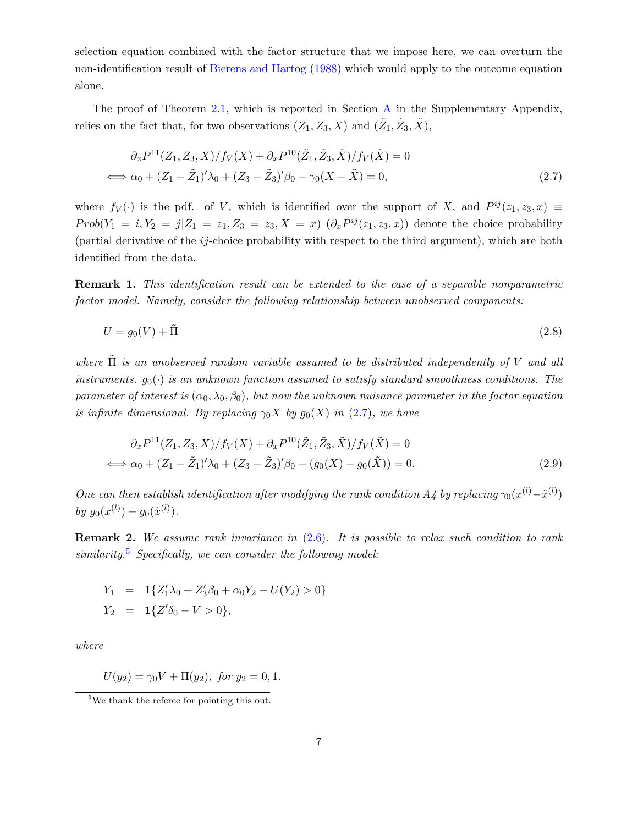selection equation combined with the factor structure that we impose here, we can overturn the non-identification result of [Bierens and Hartog](#page-24-10) [\(1988\)](#page-24-10) which would apply to the outcome equation alone.

The proof of Theorem [2.1,](#page-5-0) which is reported in Section [A](#page-14-0) in the Supplementary Appendix, relies on the fact that, for two observations  $(Z_1, Z_3, X)$  and  $(\tilde{Z}_1, \tilde{Z}_3, \tilde{X}),$ 

<span id="page-6-0"></span>
$$
\partial_x P^{11}(Z_1, Z_3, X) / f_V(X) + \partial_x P^{10}(\tilde{Z}_1, \tilde{Z}_3, \tilde{X}) / f_V(\tilde{X}) = 0
$$
  

$$
\iff \alpha_0 + (Z_1 - \tilde{Z}_1)' \lambda_0 + (Z_3 - \tilde{Z}_3)' \beta_0 - \gamma_0 (X - \tilde{X}) = 0,
$$
 (2.7)

where  $f_V(\cdot)$  is the pdf. of V, which is identified over the support of X, and  $P^{ij}(z_1, z_3, x) \equiv$  $Prob(Y_1 = i, Y_2 = j | Z_1 = z_1, Z_3 = z_3, X = x)$   $(\partial_x P^{ij}(z_1, z_3, x))$  denote the choice probability (partial derivative of the  $ij$ -choice probability with respect to the third argument), which are both identified from the data.

**Remark 1.** This identification result can be extended to the case of a separable nonparametric factor model. Namely, consider the following relationship between unobserved components:

$$
U = g_0(V) + \tilde{\Pi}
$$
\n<sup>(2.8)</sup>

where  $\Pi$  is an unobserved random variable assumed to be distributed independently of V and all instruments.  $q_0(\cdot)$  is an unknown function assumed to satisfy standard smoothness conditions. The parameter of interest is  $(\alpha_0, \lambda_0, \beta_0)$ , but now the unknown nuisance parameter in the factor equation is infinite dimensional. By replacing  $\gamma_0 X$  by  $g_0(X)$  in [\(2.7\)](#page-6-0), we have

$$
\partial_x P^{11}(Z_1, Z_3, X) / f_V(X) + \partial_x P^{10}(\tilde{Z}_1, \tilde{Z}_3, \tilde{X}) / f_V(\tilde{X}) = 0
$$
  

$$
\iff \alpha_0 + (Z_1 - \tilde{Z}_1)' \lambda_0 + (Z_3 - \tilde{Z}_3)' \beta_0 - (g_0(X) - g_0(\tilde{X})) = 0.
$$
 (2.9)

One can then establish identification after modifying the rank condition A4 by replacing  $\gamma_0(x^{(l)} - \tilde{x}^{(l)})$ by  $g_0(x^{(l)}) - g_0(\tilde{x}^{(l)})$ .

**Remark 2.** We assume rank invariance in  $(2.6)$ . It is possible to relax such condition to rank similarity.<sup>[5](#page-6-1)</sup> Specifically, we can consider the following model:

$$
Y_1 = \mathbf{1}\{Z'_1\lambda_0 + Z'_3\beta_0 + \alpha_0 Y_2 - U(Y_2) > 0\}
$$
  

$$
Y_2 = \mathbf{1}\{Z'\delta_0 - V > 0\},
$$

where

 $U(y_2) = \gamma_0 V + \Pi(y_2)$ , for  $y_2 = 0, 1$ .

<span id="page-6-1"></span> $5$ We thank the referee for pointing this out.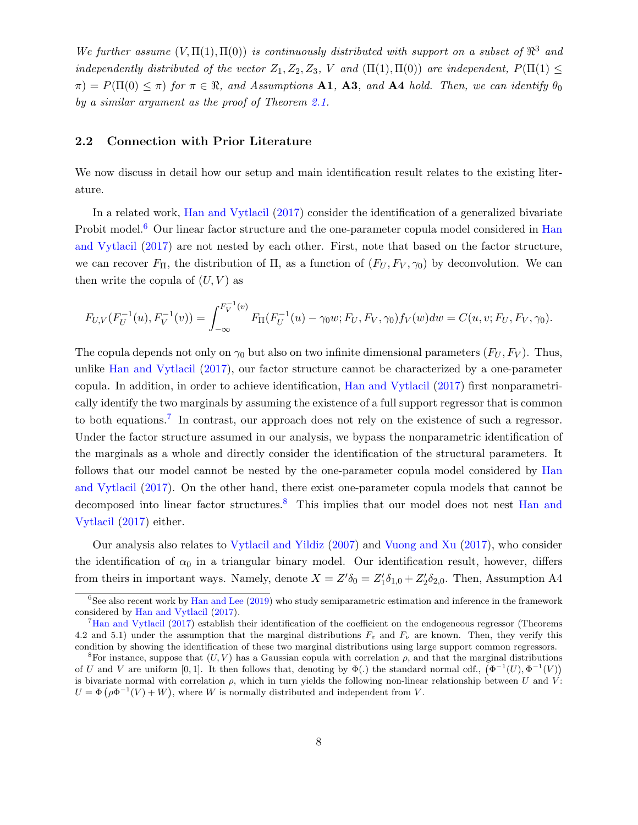We further assume  $(V, \Pi(1), \Pi(0))$  is continuously distributed with support on a subset of  $\mathbb{R}^3$  and independently distributed of the vector  $Z_1, Z_2, Z_3, V$  and  $(\Pi(1), \Pi(0))$  are independent,  $P(\Pi(1) \leq$  $\pi$ ) = P( $\Pi(0) \leq \pi$ ) for  $\pi \in \Re$ , and Assumptions **A1**, **A3**, and **A4** hold. Then, we can identify  $\theta_0$ by a similar argument as the proof of Theorem [2.1.](#page-5-0)

#### <span id="page-7-0"></span>2.2 Connection with Prior Literature

We now discuss in detail how our setup and main identification result relates to the existing literature.

In a related work, [Han and Vytlacil](#page-25-3) [\(2017\)](#page-25-3) consider the identification of a generalized bivariate Probit model.<sup>[6](#page-7-1)</sup> Our linear factor structure and the one-parameter copula model considered in [Han](#page-25-3) [and Vytlacil](#page-25-3) [\(2017\)](#page-25-3) are not nested by each other. First, note that based on the factor structure, we can recover  $F_{\Pi}$ , the distribution of  $\Pi$ , as a function of  $(F_U, F_V, \gamma_0)$  by deconvolution. We can then write the copula of  $(U, V)$  as

$$
F_{U,V}(F_U^{-1}(u), F_V^{-1}(v)) = \int_{-\infty}^{F_V^{-1}(v)} F_\Pi(F_U^{-1}(u) - \gamma_0 w; F_U, F_V, \gamma_0) f_V(w) dw = C(u, v; F_U, F_V, \gamma_0).
$$

The copula depends not only on  $\gamma_0$  but also on two infinite dimensional parameters  $(F_U, F_V)$ . Thus, unlike [Han and Vytlacil](#page-25-3) [\(2017\)](#page-25-3), our factor structure cannot be characterized by a one-parameter copula. In addition, in order to achieve identification, [Han and Vytlacil](#page-25-3) [\(2017\)](#page-25-3) first nonparametrically identify the two marginals by assuming the existence of a full support regressor that is common to both equations.<sup>[7](#page-7-2)</sup> In contrast, our approach does not rely on the existence of such a regressor. Under the factor structure assumed in our analysis, we bypass the nonparametric identification of the marginals as a whole and directly consider the identification of the structural parameters. It follows that our model cannot be nested by the one-parameter copula model considered by [Han](#page-25-3) [and Vytlacil](#page-25-3) [\(2017\)](#page-25-3). On the other hand, there exist one-parameter copula models that cannot be decomposed into linear factor structures.<sup>[8](#page-7-3)</sup> This implies that our model does not nest [Han and](#page-25-3) [Vytlacil](#page-25-3) [\(2017\)](#page-25-3) either.

Our analysis also relates to [Vytlacil and Yildiz](#page-26-3) [\(2007\)](#page-26-3) and [Vuong and Xu](#page-26-7) [\(2017\)](#page-26-7), who consider the identification of  $\alpha_0$  in a triangular binary model. Our identification result, however, differs from theirs in important ways. Namely, denote  $X = Z' \delta_0 = Z'_1 \delta_{1,0} + Z'_2 \delta_{2,0}$ . Then, Assumption A4

<span id="page-7-1"></span> $6$ See also recent work by [Han and Lee](#page-25-9) [\(2019\)](#page-25-9) who study semiparametric estimation and inference in the framework considered by [Han and Vytlacil](#page-25-3) [\(2017\)](#page-25-3).

<span id="page-7-2"></span><sup>7</sup>[Han and Vytlacil](#page-25-3) [\(2017\)](#page-25-3) establish their identification of the coefficient on the endogeneous regressor (Theorems 4.2 and 5.1) under the assumption that the marginal distributions  $F_{\varepsilon}$  and  $F_{\nu}$  are known. Then, they verify this condition by showing the identification of these two marginal distributions using large support common regressors.

<span id="page-7-3"></span><sup>&</sup>lt;sup>8</sup>For instance, suppose that  $(U, V)$  has a Gaussian copula with correlation  $\rho$ , and that the marginal distributions of U and V are uniform [0, 1]. It then follows that, denoting by  $\Phi(.)$  the standard normal cdf.,  $(\Phi^{-1}(U), \Phi^{-1}(V))$ is bivariate normal with correlation  $\rho$ , which in turn yields the following non-linear relationship between U and V:  $U = \Phi(\rho \Phi^{-1}(V) + W)$ , where W is normally distributed and independent from V.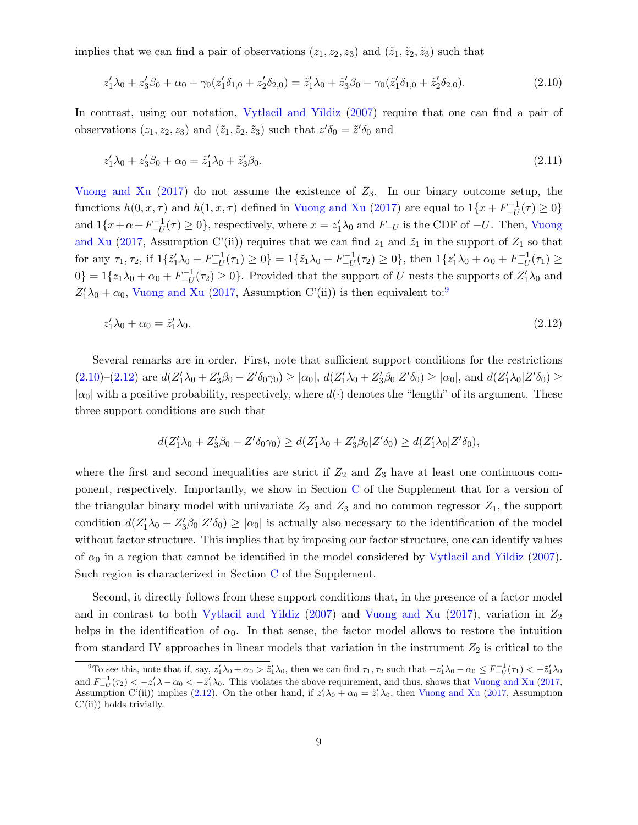implies that we can find a pair of observations  $(z_1, z_2, z_3)$  and  $(\tilde{z}_1, \tilde{z}_2, \tilde{z}_3)$  such that

<span id="page-8-1"></span>
$$
z'_1 \lambda_0 + z'_3 \beta_0 + \alpha_0 - \gamma_0 (z'_1 \delta_{1,0} + z'_2 \delta_{2,0}) = \tilde{z}'_1 \lambda_0 + \tilde{z}'_3 \beta_0 - \gamma_0 (\tilde{z}'_1 \delta_{1,0} + \tilde{z}'_2 \delta_{2,0}).
$$
\n(2.10)

In contrast, using our notation, [Vytlacil and Yildiz](#page-26-3) [\(2007\)](#page-26-3) require that one can find a pair of observations  $(z_1, z_2, z_3)$  and  $(\tilde{z}_1, \tilde{z}_2, \tilde{z}_3)$  such that  $z'\delta_0 = \tilde{z}'\delta_0$  and

<span id="page-8-3"></span>
$$
z_1'\lambda_0 + z_3'\beta_0 + \alpha_0 = \tilde{z}_1'\lambda_0 + \tilde{z}_3'\beta_0.
$$
\n(2.11)

[Vuong and Xu](#page-26-7)  $(2017)$  do not assume the existence of  $Z_3$ . In our binary outcome setup, the functions  $h(0, x, \tau)$  and  $h(1, x, \tau)$  defined in [Vuong and Xu](#page-26-7) [\(2017\)](#page-26-7) are equal to  $1\{x + F^{-1}_{-H}\}$  $\binom{-1}{-U}$  $\tau$   $\geq 0$ } and  $1\{x+\alpha+F^{-1}_{-II}$  $U_{-U}^{-1}(\tau) \ge 0$ , respectively, where  $x = z_1' \lambda_0$  and  $F_{-U}$  is the CDF of  $-U$ . Then, [Vuong](#page-26-7) [and Xu](#page-26-7) [\(2017,](#page-26-7) Assumption C'(ii)) requires that we can find  $z_1$  and  $\tilde{z}_1$  in the support of  $Z_1$  so that for any  $\tau_1, \tau_2$ , if  $1\{\tilde{z}'_1\lambda_0 + F_{-U}^{-1}\}$  $\{z_1^{-1}(\tau_1) \geq 0\} = 1\{\tilde{z}_1\lambda_0 + F_{-U}^{-1}\}$  $\binom{1}{-U}(\tau_2) \geq 0$ , then  $1\{z'_1\lambda_0 + \alpha_0 + F^{-1}_{-U}\}$  $T_{-U}^{-1}(\tau_1) \ge$  $0$ } = 1{ $z_1\lambda_0 + \alpha_0 + F_{-U}^{-1}$  $\binom{n-1}{-U}$  ( $\tau_2$ ) ≥ 0}. Provided that the support of U nests the supports of  $Z'_1\lambda_0$  and  $Z'_1\lambda_0 + \alpha_0$ , [Vuong and Xu](#page-26-7) [\(2017,](#page-26-7) Assumption C'(ii)) is then equivalent to:<sup>[9](#page-8-0)</sup>

$$
z_1'\lambda_0 + \alpha_0 = \tilde{z}_1'\lambda_0. \tag{2.12}
$$

Several remarks are in order. First, note that sufficient support conditions for the restrictions  $(2.10)-(2.12)$  $(2.10)-(2.12)$  $(2.10)-(2.12)$  are  $d(Z'_1\lambda_0+Z'_3\beta_0-Z'\delta_0\gamma_0)\geq |\alpha_0|$ ,  $d(Z'_1\lambda_0+Z'_3\beta_0|Z'\delta_0)\geq |\alpha_0|$ , and  $d(Z'_1\lambda_0|Z'\delta_0)\geq$  $|\alpha_0|$  with a positive probability, respectively, where  $d(\cdot)$  denotes the "length" of its argument. These three support conditions are such that

<span id="page-8-2"></span>
$$
d(Z'_1\lambda_0+Z'_3\beta_0-Z'\delta_0\gamma_0)\geq d(Z'_1\lambda_0+Z'_3\beta_0|Z'\delta_0)\geq d(Z'_1\lambda_0|Z'\delta_0),
$$

where the first and second inequalities are strict if  $Z_2$  and  $Z_3$  have at least one continuous component, respectively. Importantly, we show in Section [C](#page-18-0) of the Supplement that for a version of the triangular binary model with univariate  $Z_2$  and  $Z_3$  and no common regressor  $Z_1$ , the support condition  $d(Z_1'\lambda_0 + Z_3'\beta_0 | Z'\delta_0) \geq |\alpha_0|$  is actually also necessary to the identification of the model without factor structure. This implies that by imposing our factor structure, one can identify values of  $\alpha_0$  in a region that cannot be identified in the model considered by [Vytlacil and Yildiz](#page-26-3) [\(2007\)](#page-26-3). Such region is characterized in Section [C](#page-18-0) of the Supplement.

Second, it directly follows from these support conditions that, in the presence of a factor model and in contrast to both [Vytlacil and Yildiz](#page-26-3) [\(2007\)](#page-26-3) and [Vuong and Xu](#page-26-7) [\(2017\)](#page-26-7), variation in  $Z_2$ helps in the identification of  $\alpha_0$ . In that sense, the factor model allows to restore the intuition from standard IV approaches in linear models that variation in the instrument  $Z_2$  is critical to the

<span id="page-8-0"></span><sup>&</sup>lt;sup>9</sup>To see this, note that if, say,  $z'_1\lambda_0 + \alpha_0 > \tilde{z}'_1\lambda_0$ , then we can find  $\tau_1, \tau_2$  such that  $-z'_1\lambda_0 - \alpha_0 \leq F_{-U}^{-1}(\tau_1) < -\tilde{z}'_1\lambda_0$ and  $F_{-U}^{-1}(\tau_2) < -z'_1 \lambda - \alpha_0 < -\tilde{z}'_1 \lambda_0$ . This violates the above requirement, and thus, shows that [Vuong and Xu](#page-26-7) [\(2017,](#page-26-7) Assumption C'(ii)) implies [\(2.12\)](#page-8-2). On the other hand, if  $z'_1\lambda_0 + \alpha_0 = \tilde{z}'_1\lambda_0$ , then [Vuong and Xu](#page-26-7) [\(2017,](#page-26-7) Assumption C'(ii)) holds trivially.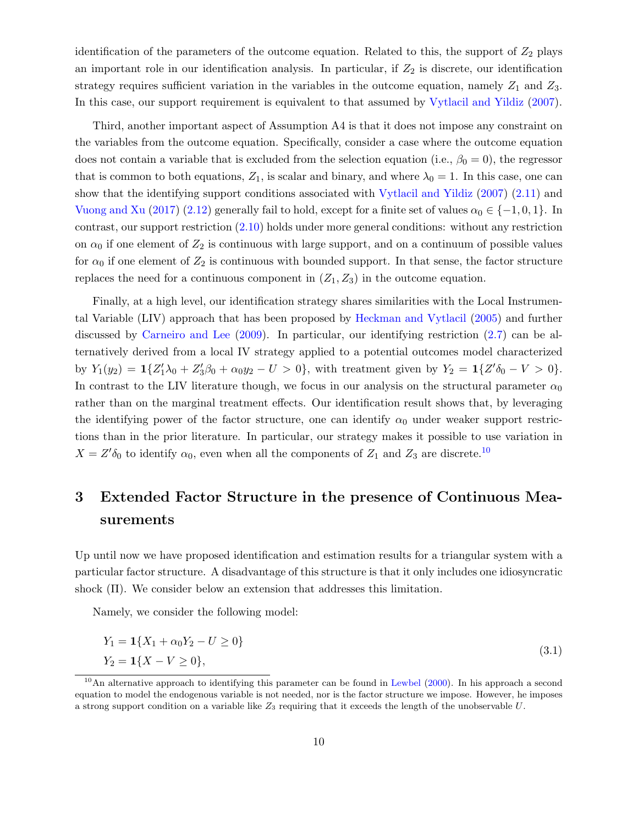identification of the parameters of the outcome equation. Related to this, the support of  $Z_2$  plays an important role in our identification analysis. In particular, if  $Z_2$  is discrete, our identification strategy requires sufficient variation in the variables in the outcome equation, namely  $Z_1$  and  $Z_3$ . In this case, our support requirement is equivalent to that assumed by [Vytlacil and Yildiz](#page-26-3) [\(2007\)](#page-26-3).

Third, another important aspect of Assumption A4 is that it does not impose any constraint on the variables from the outcome equation. Specifically, consider a case where the outcome equation does not contain a variable that is excluded from the selection equation (i.e.,  $\beta_0 = 0$ ), the regressor that is common to both equations,  $Z_1$ , is scalar and binary, and where  $\lambda_0 = 1$ . In this case, one can show that the identifying support conditions associated with [Vytlacil and Yildiz](#page-26-3) [\(2007\)](#page-26-3) [\(2.11\)](#page-8-3) and [Vuong and Xu](#page-26-7) [\(2017\)](#page-26-7) [\(2.12\)](#page-8-2) generally fail to hold, except for a finite set of values  $\alpha_0 \in \{-1, 0, 1\}$ . In contrast, our support restriction [\(2.10\)](#page-8-1) holds under more general conditions: without any restriction on  $\alpha_0$  if one element of  $Z_2$  is continuous with large support, and on a continuum of possible values for  $\alpha_0$  if one element of  $Z_2$  is continuous with bounded support. In that sense, the factor structure replaces the need for a continuous component in  $(Z_1, Z_3)$  in the outcome equation.

Finally, at a high level, our identification strategy shares similarities with the Local Instrumental Variable (LIV) approach that has been proposed by [Heckman and Vytlacil](#page-25-10) [\(2005\)](#page-25-10) and further discussed by [Carneiro and Lee](#page-24-11) [\(2009\)](#page-24-11). In particular, our identifying restriction [\(2.7\)](#page-6-0) can be alternatively derived from a local IV strategy applied to a potential outcomes model characterized by  $Y_1(y_2) = \mathbf{1}\{Z_1'\lambda_0 + Z_3'\beta_0 + \alpha_0y_2 - U > 0\}$ , with treatment given by  $Y_2 = \mathbf{1}\{Z'\delta_0 - V > 0\}$ . In contrast to the LIV literature though, we focus in our analysis on the structural parameter  $\alpha_0$ rather than on the marginal treatment effects. Our identification result shows that, by leveraging the identifying power of the factor structure, one can identify  $\alpha_0$  under weaker support restrictions than in the prior literature. In particular, our strategy makes it possible to use variation in  $X = Z' \delta_0$  to identify  $\alpha_0$ , even when all the components of  $Z_1$  and  $Z_3$  are discrete.<sup>[10](#page-9-1)</sup>

# <span id="page-9-0"></span>3 Extended Factor Structure in the presence of Continuous Measurements

Up until now we have proposed identification and estimation results for a triangular system with a particular factor structure. A disadvantage of this structure is that it only includes one idiosyncratic shock (Π). We consider below an extension that addresses this limitation.

Namely, we consider the following model:

<span id="page-9-2"></span>
$$
Y_1 = \mathbf{1}\{X_1 + \alpha_0 Y_2 - U \ge 0\}
$$
  
\n
$$
Y_2 = \mathbf{1}\{X - V \ge 0\},
$$
\n(3.1)

<span id="page-9-1"></span><sup>&</sup>lt;sup>10</sup>An alternative approach to identifying this parameter can be found in [Lewbel](#page-26-1) [\(2000\)](#page-26-1). In his approach a second equation to model the endogenous variable is not needed, nor is the factor structure we impose. However, he imposes a strong support condition on a variable like  $Z_3$  requiring that it exceeds the length of the unobservable  $U$ .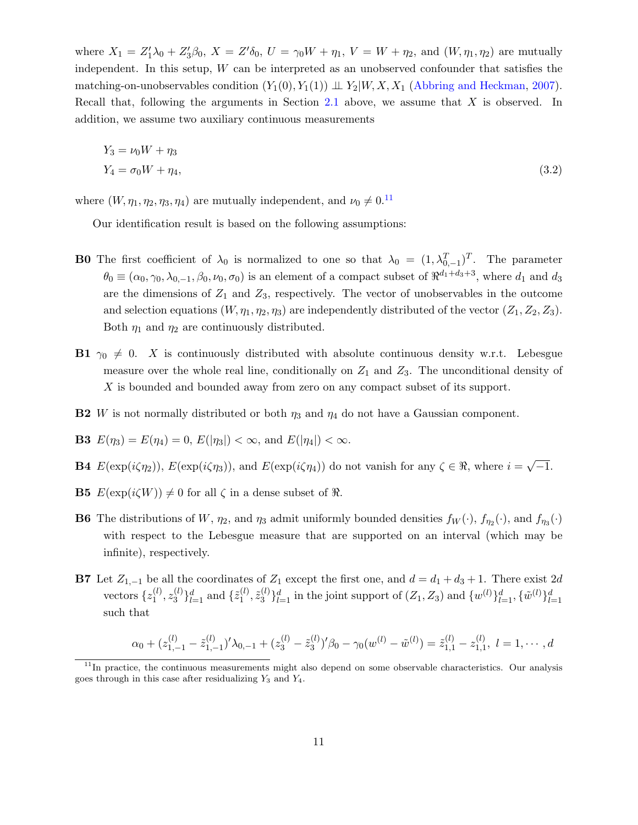where  $X_1 = Z_1' \lambda_0 + Z_3' \beta_0$ ,  $X = Z' \delta_0$ ,  $U = \gamma_0 W + \eta_1$ ,  $V = W + \eta_2$ , and  $(W, \eta_1, \eta_2)$  are mutually independent. In this setup, W can be interpreted as an unobserved confounder that satisfies the matching-on-unobservables condition  $(Y_1(0), Y_1(1)) \perp Y_2 \mid W, X, X_1$  [\(Abbring and Heckman,](#page-24-5) [2007\)](#page-24-5). Recall that, following the arguments in Section [2.1](#page-3-4) above, we assume that X is observed. In addition, we assume two auxiliary continuous measurements

<span id="page-10-1"></span>
$$
Y_3 = \nu_0 W + \eta_3
$$
  
\n
$$
Y_4 = \sigma_0 W + \eta_4,
$$
\n(3.2)

where  $(W, \eta_1, \eta_2, \eta_3, \eta_4)$  are mutually independent, and  $\nu_0 \neq 0.$ <sup>[11](#page-10-0)</sup>

Our identification result is based on the following assumptions:

- **B0** The first coefficient of  $\lambda_0$  is normalized to one so that  $\lambda_0 = (1, \lambda_{0,-1}^T)^T$ . The parameter  $\theta_0 \equiv (\alpha_0, \gamma_0, \lambda_{0,-1}, \beta_0, \nu_0, \sigma_0)$  is an element of a compact subset of  $\Re^{d_1+d_3+3}$ , where  $d_1$  and  $d_3$ are the dimensions of  $Z_1$  and  $Z_3$ , respectively. The vector of unobservables in the outcome and selection equations  $(W, \eta_1, \eta_2, \eta_3)$  are independently distributed of the vector  $(Z_1, Z_2, Z_3)$ . Both  $\eta_1$  and  $\eta_2$  are continuously distributed.
- **B1**  $\gamma_0 \neq 0$ . X is continuously distributed with absolute continuous density w.r.t. Lebesgue measure over the whole real line, conditionally on  $Z_1$  and  $Z_3$ . The unconditional density of X is bounded and bounded away from zero on any compact subset of its support.
- **B2** W is not normally distributed or both  $\eta_3$  and  $\eta_4$  do not have a Gaussian component.

**B3** 
$$
E(\eta_3) = E(\eta_4) = 0
$$
,  $E(|\eta_3|) < \infty$ , and  $E(|\eta_4|) < \infty$ .

- **B4**  $E(\exp(i\zeta\eta_2))$ ,  $E(\exp(i\zeta\eta_3))$ , and  $E(\exp(i\zeta\eta_4))$  do not vanish for any  $\zeta \in \Re$ , where  $i =$ √  $\overline{-1}$ .
- **B5**  $E(\exp(i\zeta W)) \neq 0$  for all  $\zeta$  in a dense subset of  $\Re$ .
- **B6** The distributions of W,  $\eta_2$ , and  $\eta_3$  admit uniformly bounded densities  $f_W(\cdot)$ ,  $f_{\eta_2}(\cdot)$ , and  $f_{\eta_3}(\cdot)$ with respect to the Lebesgue measure that are supported on an interval (which may be infinite), respectively.
- B7 Let  $Z_{1,-1}$  be all the coordinates of  $Z_1$  except the first one, and  $d = d_1 + d_3 + 1$ . There exist 2d vectors  $\{z_1^{(l)}\}$  $\mathbf{z}_1^{(l)}, \mathbf{z}_3^{(l)}$  $\{a_3^{(l)}\}_{l=1}^d$  and  $\{\tilde{z}_1^{(l)}\}$  $\tilde{z}_3^{(l)}, \tilde{z}_3^{(l)}$  $\{u^{(l)}\}_{l=1}^d$  in the joint support of  $(Z_1, Z_3)$  and  $\{w^{(l)}\}_{l=1}^d$ ,  $\{\tilde{w}^{(l)}\}_{l=1}^d$ such that

$$
\alpha_0 + (z_{1,-1}^{(l)} - \tilde{z}_{1,-1}^{(l)})' \lambda_{0,-1} + (z_3^{(l)} - \tilde{z}_3^{(l)})' \beta_0 - \gamma_0 (w^{(l)} - \tilde{w}^{(l)}) = \tilde{z}_{1,1}^{(l)} - z_{1,1}^{(l)}, \ l = 1, \cdots, d
$$

<span id="page-10-0"></span> $11$ In practice, the continuous measurements might also depend on some observable characteristics. Our analysis goes through in this case after residualizing  $Y_3$  and  $Y_4$ .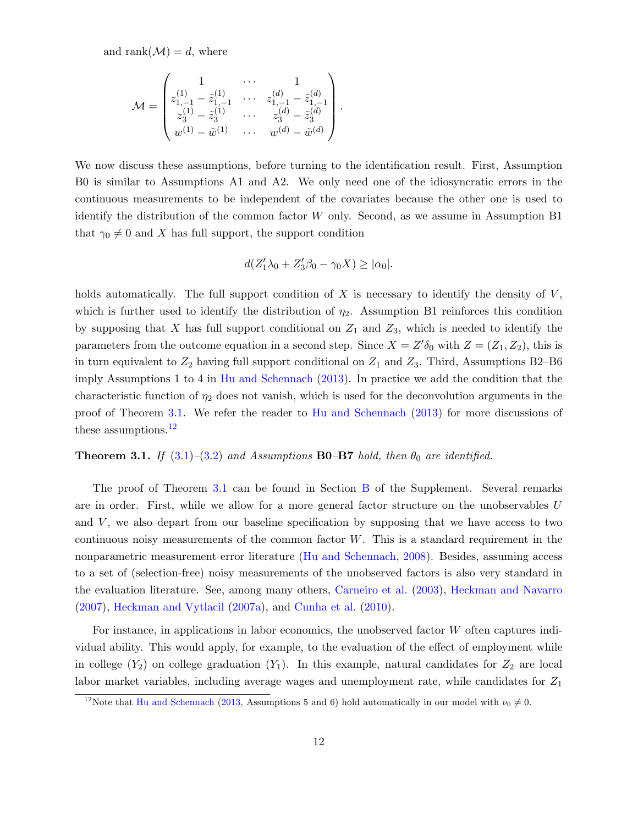and rank $(M) = d$ , where

$$
\mathcal{M} = \begin{pmatrix} 1 & \cdots & 1 \\ z_{1,-1}^{(1)} - \tilde{z}_{1,-1}^{(1)} & \cdots & z_{1,-1}^{(d)} - \tilde{z}_{1,-1}^{(d)} \\ z_{3}^{(1)} - \tilde{z}_{3}^{(1)} & \cdots & z_{3}^{(d)} - \tilde{z}_{3}^{(d)} \\ w^{(1)} - \tilde{w}^{(1)} & \cdots & w^{(d)} - \tilde{w}^{(d)} \end{pmatrix}.
$$

We now discuss these assumptions, before turning to the identification result. First, Assumption B0 is similar to Assumptions A1 and A2. We only need one of the idiosyncratic errors in the continuous measurements to be independent of the covariates because the other one is used to identify the distribution of the common factor  $W$  only. Second, as we assume in Assumption B1 that  $\gamma_0 \neq 0$  and X has full support, the support condition

$$
d(Z'_1\lambda_0+Z'_3\beta_0-\gamma_0X)\geq |\alpha_0|.
$$

holds automatically. The full support condition of  $X$  is necessary to identify the density of  $V$ , which is further used to identify the distribution of  $\eta_2$ . Assumption B1 reinforces this condition by supposing that X has full support conditional on  $Z_1$  and  $Z_3$ , which is needed to identify the parameters from the outcome equation in a second step. Since  $X = Z' \delta_0$  with  $Z = (Z_1, Z_2)$ , this is in turn equivalent to  $Z_2$  having full support conditional on  $Z_1$  and  $Z_3$ . Third, Assumptions B2–B6 imply Assumptions 1 to 4 in [Hu and Schennach](#page-25-11) [\(2013\)](#page-25-11). In practice we add the condition that the characteristic function of  $\eta_2$  does not vanish, which is used for the deconvolution arguments in the proof of Theorem [3.1.](#page-11-0) We refer the reader to [Hu and Schennach](#page-25-11) [\(2013\)](#page-25-11) for more discussions of these assumptions.<sup>[12](#page-11-1)</sup>

#### <span id="page-11-0"></span>**Theorem 3.1.** If  $(3.1)$ – $(3.2)$  and Assumptions **B0–B7** hold, then  $\theta_0$  are identified.

The proof of Theorem [3.1](#page-11-0) can be found in Section [B](#page-15-0) of the Supplement. Several remarks are in order. First, while we allow for a more general factor structure on the unobservables U and  $V$ , we also depart from our baseline specification by supposing that we have access to two continuous noisy measurements of the common factor W. This is a standard requirement in the nonparametric measurement error literature [\(Hu and Schennach,](#page-25-12) [2008\)](#page-25-12). Besides, assuming access to a set of (selection-free) noisy measurements of the unobserved factors is also very standard in the evaluation literature. See, among many others, [Carneiro et al.](#page-24-6) [\(2003\)](#page-24-6), [Heckman and Navarro](#page-25-13) [\(2007\)](#page-25-13), [Heckman and Vytlacil](#page-25-1) [\(2007a\)](#page-25-1), and [Cunha et al.](#page-25-0) [\(2010\)](#page-25-0).

For instance, in applications in labor economics, the unobserved factor W often captures individual ability. This would apply, for example, to the evaluation of the effect of employment while in college  $(Y_2)$  on college graduation  $(Y_1)$ . In this example, natural candidates for  $Z_2$  are local labor market variables, including average wages and unemployment rate, while candidates for  $Z_1$ 

<span id="page-11-1"></span><sup>&</sup>lt;sup>12</sup>Note that [Hu and Schennach](#page-25-11) [\(2013,](#page-25-11) Assumptions 5 and 6) hold automatically in our model with  $\nu_0 \neq 0$ .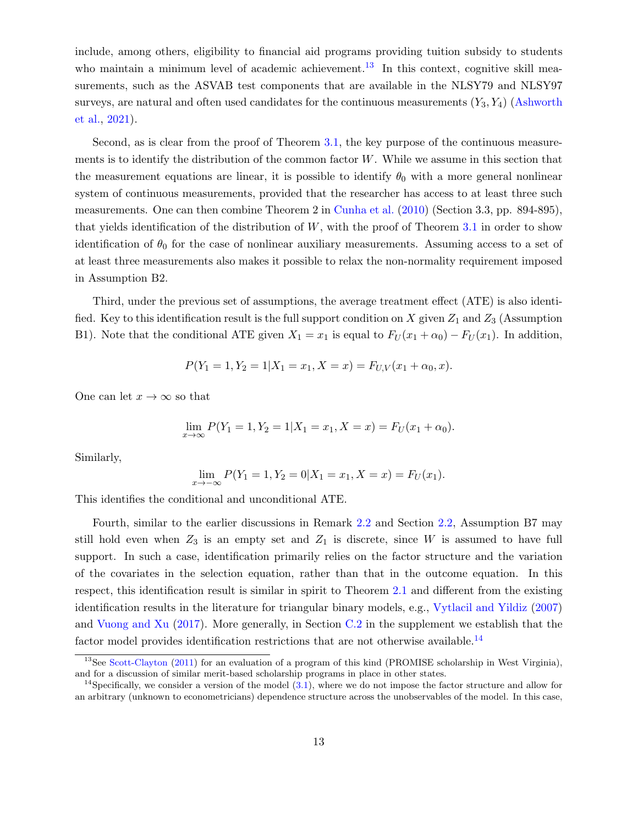include, among others, eligibility to financial aid programs providing tuition subsidy to students who maintain a minimum level of academic achievement.<sup>[13](#page-12-0)</sup> In this context, cognitive skill measurements, such as the ASVAB test components that are available in the NLSY79 and NLSY97 surveys, are natural and often used candidates for the continuous measurements  $(Y_3, Y_4)$  [\(Ashworth](#page-24-2) [et al.,](#page-24-2) [2021\)](#page-24-2).

Second, as is clear from the proof of Theorem [3.1,](#page-11-0) the key purpose of the continuous measurements is to identify the distribution of the common factor W. While we assume in this section that the measurement equations are linear, it is possible to identify  $\theta_0$  with a more general nonlinear system of continuous measurements, provided that the researcher has access to at least three such measurements. One can then combine Theorem 2 in [Cunha et al.](#page-25-0) [\(2010\)](#page-25-0) (Section 3.3, pp. 894-895), that yields identification of the distribution of  $W$ , with the proof of Theorem [3.1](#page-11-0) in order to show identification of  $\theta_0$  for the case of nonlinear auxiliary measurements. Assuming access to a set of at least three measurements also makes it possible to relax the non-normality requirement imposed in Assumption B2.

Third, under the previous set of assumptions, the average treatment effect (ATE) is also identified. Key to this identification result is the full support condition on X given  $Z_1$  and  $Z_3$  (Assumption B1). Note that the conditional ATE given  $X_1 = x_1$  is equal to  $F_U(x_1 + \alpha_0) - F_U(x_1)$ . In addition,

$$
P(Y_1 = 1, Y_2 = 1 | X_1 = x_1, X = x) = F_{U,V}(x_1 + \alpha_0, x).
$$

One can let  $x \to \infty$  so that

$$
\lim_{x \to \infty} P(Y_1 = 1, Y_2 = 1 | X_1 = x_1, X = x) = F_U(x_1 + \alpha_0).
$$

Similarly,

$$
\lim_{x \to -\infty} P(Y_1 = 1, Y_2 = 0 | X_1 = x_1, X = x) = F_U(x_1).
$$

This identifies the conditional and unconditional ATE.

Fourth, similar to the earlier discussions in Remark [2.2](#page-5-1) and Section [2.2,](#page-7-0) Assumption B7 may still hold even when  $Z_3$  is an empty set and  $Z_1$  is discrete, since W is assumed to have full support. In such a case, identification primarily relies on the factor structure and the variation of the covariates in the selection equation, rather than that in the outcome equation. In this respect, this identification result is similar in spirit to Theorem [2.1](#page-5-0) and different from the existing identification results in the literature for triangular binary models, e.g., [Vytlacil and Yildiz](#page-26-3) [\(2007\)](#page-26-3) and [Vuong and Xu](#page-26-7) [\(2017\)](#page-26-7). More generally, in Section [C.2](#page-20-0) in the supplement we establish that the factor model provides identification restrictions that are not otherwise available.<sup>[14](#page-12-1)</sup>

<span id="page-12-0"></span><sup>&</sup>lt;sup>13</sup>See [Scott-Clayton](#page-26-10) [\(2011\)](#page-26-10) for an evaluation of a program of this kind (PROMISE scholarship in West Virginia), and for a discussion of similar merit-based scholarship programs in place in other states.

<span id="page-12-1"></span><sup>&</sup>lt;sup>14</sup>Specifically, we consider a version of the model  $(3.1)$ , where we do not impose the factor structure and allow for an arbitrary (unknown to econometricians) dependence structure across the unobservables of the model. In this case,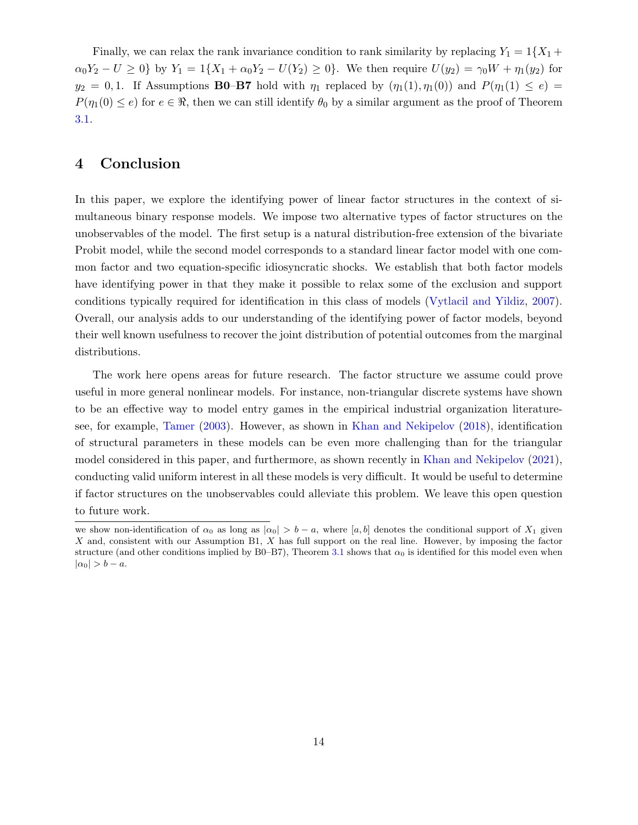Finally, we can relax the rank invariance condition to rank similarity by replacing  $Y_1 = 1\{X_1 +$  $\alpha_0 Y_2 - U \geq 0$  by  $Y_1 = 1\{X_1 + \alpha_0 Y_2 - U(Y_2) \geq 0\}$ . We then require  $U(y_2) = \gamma_0 W + \eta_1(y_2)$  for  $y_2 = 0, 1$ . If Assumptions **B0–B7** hold with  $\eta_1$  replaced by  $(\eta_1(1), \eta_1(0))$  and  $P(\eta_1(1) \le e)$  $P(\eta_1(0) \leq e)$  for  $e \in \Re$ , then we can still identify  $\theta_0$  by a similar argument as the proof of Theorem [3.1.](#page-11-0)

### <span id="page-13-0"></span>4 Conclusion

In this paper, we explore the identifying power of linear factor structures in the context of simultaneous binary response models. We impose two alternative types of factor structures on the unobservables of the model. The first setup is a natural distribution-free extension of the bivariate Probit model, while the second model corresponds to a standard linear factor model with one common factor and two equation-specific idiosyncratic shocks. We establish that both factor models have identifying power in that they make it possible to relax some of the exclusion and support conditions typically required for identification in this class of models [\(Vytlacil and Yildiz,](#page-26-3) [2007\)](#page-26-3). Overall, our analysis adds to our understanding of the identifying power of factor models, beyond their well known usefulness to recover the joint distribution of potential outcomes from the marginal distributions.

The work here opens areas for future research. The factor structure we assume could prove useful in more general nonlinear models. For instance, non-triangular discrete systems have shown to be an effective way to model entry games in the empirical industrial organization literaturesee, for example, [Tamer](#page-26-11) [\(2003\)](#page-26-11). However, as shown in [Khan and Nekipelov](#page-25-5) [\(2018\)](#page-25-5), identification of structural parameters in these models can be even more challenging than for the triangular model considered in this paper, and furthermore, as shown recently in [Khan and Nekipelov](#page-26-12) [\(2021\)](#page-26-12), conducting valid uniform interest in all these models is very difficult. It would be useful to determine if factor structures on the unobservables could alleviate this problem. We leave this open question to future work.

we show non-identification of  $\alpha_0$  as long as  $|\alpha_0| > b - a$ , where [a, b] denotes the conditional support of  $X_1$  given X and, consistent with our Assumption B1, X has full support on the real line. However, by imposing the factor structure (and other conditions implied by B0–B7), Theorem [3.1](#page-11-0) shows that  $\alpha_0$  is identified for this model even when  $|\alpha_0| > b - a.$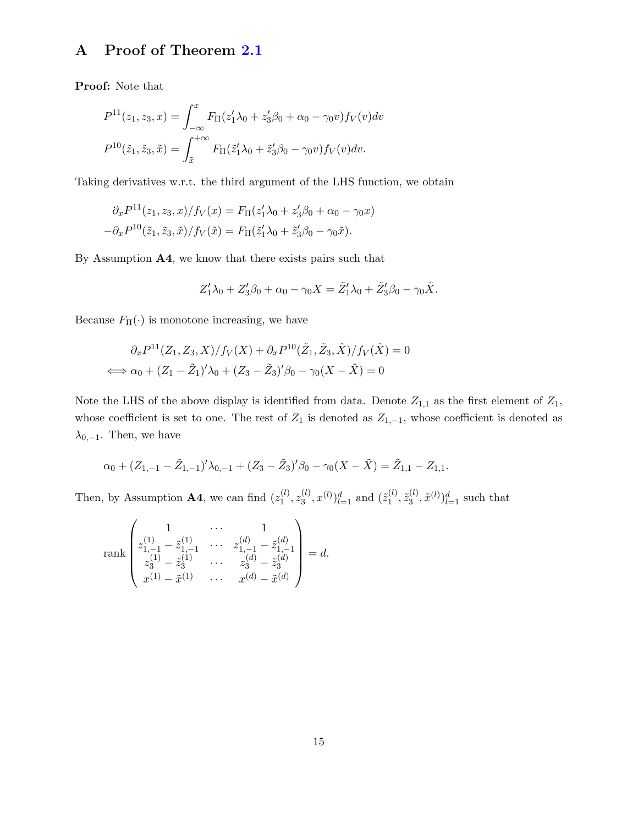## <span id="page-14-0"></span>A Proof of Theorem [2.1](#page-5-0)

Proof: Note that

$$
P^{11}(z_1, z_3, x) = \int_{-\infty}^{x} F_{\Pi}(z_1' \lambda_0 + z_3' \beta_0 + \alpha_0 - \gamma_0 v) f_V(v) dv
$$
  

$$
P^{10}(\tilde{z}_1, \tilde{z}_3, \tilde{x}) = \int_{\tilde{x}}^{+\infty} F_{\Pi}(\tilde{z}_1' \lambda_0 + \tilde{z}_3' \beta_0 - \gamma_0 v) f_V(v) dv.
$$

Taking derivatives w.r.t. the third argument of the LHS function, we obtain

$$
\partial_x P^{11}(z_1, z_3, x) / f_V(x) = F_{\Pi}(z_1' \lambda_0 + z_3' \beta_0 + \alpha_0 - \gamma_0 x)
$$

$$
-\partial_x P^{10}(\tilde{z}_1, \tilde{z}_3, \tilde{x}) / f_V(\tilde{x}) = F_{\Pi}(\tilde{z}_1' \lambda_0 + \tilde{z}_3' \beta_0 - \gamma_0 \tilde{x}).
$$

By Assumption A4, we know that there exists pairs such that

$$
Z_1'\lambda_0+Z_3'\beta_0+\alpha_0-\gamma_0X=\tilde{Z}_1'\lambda_0+\tilde{Z}_3'\beta_0-\gamma_0\tilde{X}.
$$

Because  $F_{\Pi}(\cdot)$  is monotone increasing, we have

$$
\partial_x P^{11}(Z_1, Z_3, X) / f_V(X) + \partial_x P^{10}(\tilde{Z}_1, \tilde{Z}_3, \tilde{X}) / f_V(\tilde{X}) = 0
$$
  

$$
\iff \alpha_0 + (Z_1 - \tilde{Z}_1)' \lambda_0 + (Z_3 - \tilde{Z}_3)' \beta_0 - \gamma_0 (X - \tilde{X}) = 0
$$

Note the LHS of the above display is identified from data. Denote  $Z_{1,1}$  as the first element of  $Z_1$ , whose coefficient is set to one. The rest of  $Z_1$  is denoted as  $Z_{1,-1}$ , whose coefficient is denoted as  $\lambda_{0,-1}$ . Then, we have

$$
\alpha_0 + (Z_{1,-1} - \tilde{Z}_{1,-1})' \lambda_{0,-1} + (Z_3 - \tilde{Z}_3)' \beta_0 - \gamma_0 (X - \tilde{X}) = \tilde{Z}_{1,1} - Z_{1,1}.
$$

Then, by Assumption **A4**, we can find  $(z_1^{(l)})$  $\mathbf{z}_1^{(l)}, \mathbf{z}_3^{(l)}$  $\binom{l}{3}$ ,  $x^{(l)}$ ) $_{l=1}^{d}$  and  $(\tilde{z}_1^{(l)}$  $^{(l)}_{1}, \tilde{z}^{(l)}_{3}$  $\left( \begin{smallmatrix} (l), \\ 3 \end{smallmatrix} \right)_{l=1}^d$  such that

rank 
$$
\begin{pmatrix} 1 & \cdots & 1 \\ z_{1,-1}^{(1)} - \tilde{z}_{1,-1}^{(1)} & \cdots & z_{1,-1}^{(d)} - \tilde{z}_{1,-1}^{(d)} \\ z_{3}^{(1)} - \tilde{z}_{3}^{(1)} & \cdots & z_{3}^{(d)} - \tilde{z}_{3}^{(d)} \\ x^{(1)} - \tilde{x}^{(1)} & \cdots & x^{(d)} - \tilde{x}^{(d)} \end{pmatrix} = d.
$$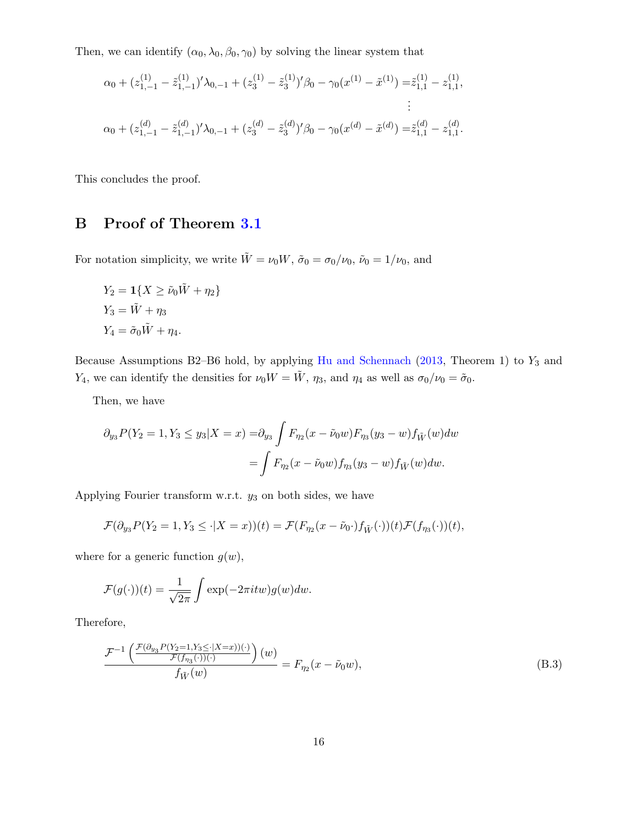Then, we can identify  $(\alpha_0, \lambda_0, \beta_0, \gamma_0)$  by solving the linear system that

$$
\alpha_0 + (z_{1,-1}^{(1)} - \tilde{z}_{1,-1}^{(1)})' \lambda_{0,-1} + (z_3^{(1)} - \tilde{z}_3^{(1)})' \beta_0 - \gamma_0 (x^{(1)} - \tilde{x}^{(1)}) = \tilde{z}_{1,1}^{(1)} - z_{1,1}^{(1)},
$$
  
\n
$$
\vdots
$$
  
\n
$$
\alpha_0 + (z_{1,-1}^{(d)} - \tilde{z}_{1,-1}^{(d)})' \lambda_{0,-1} + (z_3^{(d)} - \tilde{z}_3^{(d)})' \beta_0 - \gamma_0 (x^{(d)} - \tilde{x}^{(d)}) = \tilde{z}_{1,1}^{(d)} - z_{1,1}^{(d)}.
$$

This concludes the proof.

### <span id="page-15-0"></span>B Proof of Theorem [3.1](#page-11-0)

For notation simplicity, we write  $\tilde{W} = \nu_0 W$ ,  $\tilde{\sigma}_0 = \sigma_0/\nu_0$ ,  $\tilde{\nu}_0 = 1/\nu_0$ , and

$$
Y_2 = \mathbf{1}\{X \ge \tilde{\nu}_0 \tilde{W} + \eta_2\}
$$
  
\n
$$
Y_3 = \tilde{W} + \eta_3
$$
  
\n
$$
Y_4 = \tilde{\sigma}_0 \tilde{W} + \eta_4.
$$

Because Assumptions B2–B6 hold, by applying [Hu and Schennach](#page-25-11) [\(2013,](#page-25-11) Theorem 1) to  $Y_3$  and Y<sub>4</sub>, we can identify the densities for  $\nu_0 W = \tilde{W}$ ,  $\eta_3$ , and  $\eta_4$  as well as  $\sigma_0/\nu_0 = \tilde{\sigma}_0$ .

Then, we have

$$
\partial_{y_3} P(Y_2 = 1, Y_3 \le y_3 | X = x) = \partial_{y_3} \int F_{\eta_2}(x - \tilde{\nu}_0 w) F_{\eta_3}(y_3 - w) f_{\tilde{W}}(w) dw
$$
  
= 
$$
\int F_{\eta_2}(x - \tilde{\nu}_0 w) f_{\eta_3}(y_3 - w) f_{\tilde{W}}(w) dw.
$$

Applying Fourier transform w.r.t.  $y_3$  on both sides, we have

$$
\mathcal{F}(\partial_{y_3} P(Y_2=1, Y_3\leq \cdot|X=x))(t)=\mathcal{F}(F_{\eta_2}(x-\tilde{\nu}_0\cdot)f_{\tilde{W}}(\cdot))(t)\mathcal{F}(f_{\eta_3}(\cdot))(t),
$$

where for a generic function  $g(w)$ ,

$$
\mathcal{F}(g(\cdot))(t) = \frac{1}{\sqrt{2\pi}} \int \exp(-2\pi i t w) g(w) dw.
$$

Therefore,

<span id="page-15-1"></span>
$$
\frac{\mathcal{F}^{-1}\left(\frac{\mathcal{F}(\partial_{y_3}P(Y_2=1,Y_3\leq |X=x))(\cdot)}{\mathcal{F}(f_{\eta_3}(\cdot))(\cdot)}\right)(w)}{f_{\tilde{W}}(w)} = F_{\eta_2}(x-\tilde{\nu}_0w),\tag{B.3}
$$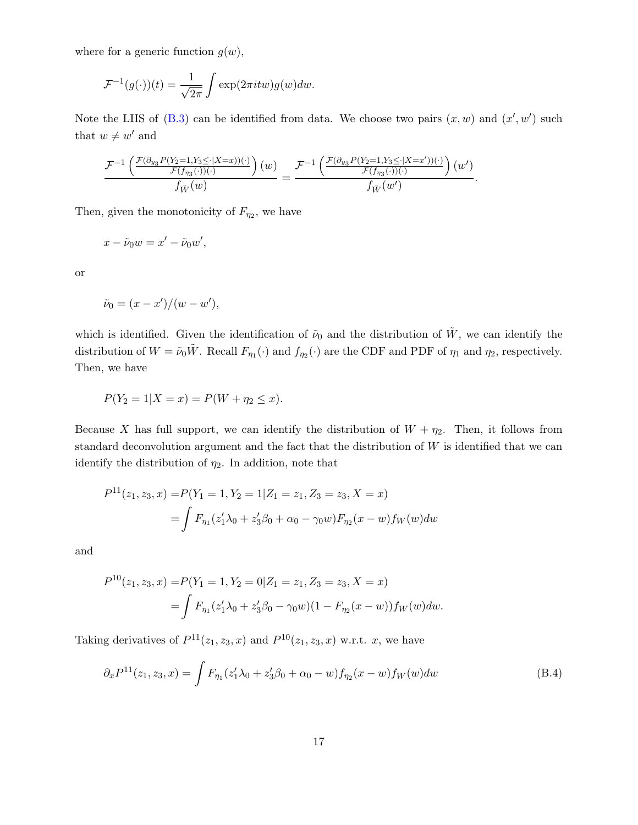where for a generic function  $g(w)$ ,

$$
\mathcal{F}^{-1}(g(\cdot))(t) = \frac{1}{\sqrt{2\pi}} \int \exp(2\pi itw)g(w)dw.
$$

Note the LHS of  $(B.3)$  can be identified from data. We choose two pairs  $(x, w)$  and  $(x', w')$  such that  $w \neq w'$  and

$$
\frac{\mathcal{F}^{-1}\left(\frac{\mathcal{F}(\partial_{y_3}P(Y_2=1,Y_3\leq |X=x))(\cdot)}{\mathcal{F}(f_{\eta_3}(\cdot))(\cdot)}\right)(w)}{f_{\tilde{W}}(w)}=\frac{\mathcal{F}^{-1}\left(\frac{\mathcal{F}(\partial_{y_3}P(Y_2=1,Y_3\leq |X=x'))(\cdot)}{\mathcal{F}(f_{\eta_3}(\cdot))(\cdot)}\right)(w')}{f_{\tilde{W}}(w')}.
$$

Then, given the monotonicity of  $F_{\eta_2}$ , we have

$$
x - \tilde{\nu}_0 w = x' - \tilde{\nu}_0 w',
$$

or

$$
\tilde{\nu}_0 = (x - x')/(w - w'),
$$

which is identified. Given the identification of  $\tilde{\nu}_0$  and the distribution of  $\tilde{W}$ , we can identify the distribution of  $W = \tilde{\nu}_0 \tilde{W}$ . Recall  $F_{\eta_1}(\cdot)$  and  $f_{\eta_2}(\cdot)$  are the CDF and PDF of  $\eta_1$  and  $\eta_2$ , respectively. Then, we have

$$
P(Y_2 = 1 | X = x) = P(W + \eta_2 \le x).
$$

Because X has full support, we can identify the distribution of  $W + \eta_2$ . Then, it follows from standard deconvolution argument and the fact that the distribution of  $W$  is identified that we can identify the distribution of  $\eta_2$ . In addition, note that

$$
P^{11}(z_1, z_3, x) = P(Y_1 = 1, Y_2 = 1 | Z_1 = z_1, Z_3 = z_3, X = x)
$$
  
= 
$$
\int F_{\eta_1}(z_1' \lambda_0 + z_3' \beta_0 + \alpha_0 - \gamma_0 w) F_{\eta_2}(x - w) f_W(w) dw
$$

and

$$
P^{10}(z_1, z_3, x) = P(Y_1 = 1, Y_2 = 0 | Z_1 = z_1, Z_3 = z_3, X = x)
$$
  
= 
$$
\int F_{\eta_1}(z_1' \lambda_0 + z_3' \beta_0 - \gamma_0 w)(1 - F_{\eta_2}(x - w)) f_W(w) dw.
$$

Taking derivatives of  $P^{11}(z_1, z_3, x)$  and  $P^{10}(z_1, z_3, x)$  w.r.t. x, we have

<span id="page-16-0"></span>
$$
\partial_x P^{11}(z_1, z_3, x) = \int F_{\eta_1}(z_1' \lambda_0 + z_3' \beta_0 + \alpha_0 - w) f_{\eta_2}(x - w) f_W(w) dw \tag{B.4}
$$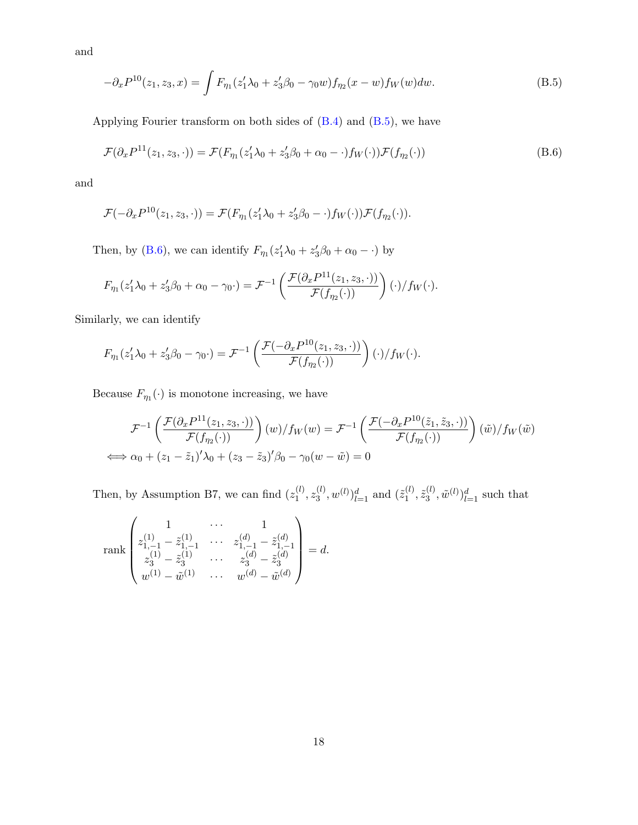and

<span id="page-17-0"></span>
$$
-\partial_x P^{10}(z_1, z_3, x) = \int F_{\eta_1}(z_1' \lambda_0 + z_3' \beta_0 - \gamma_0 w) f_{\eta_2}(x - w) f_W(w) dw.
$$
 (B.5)

Applying Fourier transform on both sides of [\(B.4\)](#page-16-0) and [\(B.5\)](#page-17-0), we have

<span id="page-17-1"></span>
$$
\mathcal{F}(\partial_x P^{11}(z_1, z_3, \cdot)) = \mathcal{F}(F_{\eta_1}(z_1'\lambda_0 + z_3'\beta_0 + \alpha_0 - \cdot)f_W(\cdot))\mathcal{F}(f_{\eta_2}(\cdot))
$$
\n(B.6)

and

$$
\mathcal{F}(-\partial_x P^{10}(z_1, z_3, \cdot)) = \mathcal{F}(F_{\eta_1}(z_1'\lambda_0 + z_3'\beta_0 - \cdot)f_W(\cdot))\mathcal{F}(f_{\eta_2}(\cdot)).
$$

Then, by [\(B.6\)](#page-17-1), we can identify  $F_{\eta_1}(z'_1 \lambda_0 + z'_3 \beta_0 + \alpha_0 - \cdot)$  by

$$
F_{\eta_1}(z'_1\lambda_0 + z'_3\beta_0 + \alpha_0 - \gamma_0 \cdot) = \mathcal{F}^{-1}\left(\frac{\mathcal{F}(\partial_x P^{11}(z_1, z_3, \cdot))}{\mathcal{F}(f_{\eta_2}(\cdot))}\right)(\cdot)/f_W(\cdot).
$$

Similarly, we can identify

$$
F_{\eta_1}(z'_1\lambda_0+z'_3\beta_0-\gamma_0\cdot)=\mathcal{F}^{-1}\left(\frac{\mathcal{F}(-\partial_x P^{10}(z_1,z_3,\cdot))}{\mathcal{F}(f_{\eta_2}(\cdot))}\right)(\cdot)/f_W(\cdot).
$$

Because  $F_{\eta_1}(\cdot)$  is monotone increasing, we have

$$
\mathcal{F}^{-1}\left(\frac{\mathcal{F}(\partial_x P^{11}(z_1, z_3, \cdot))}{\mathcal{F}(f_{\eta_2}(\cdot))}\right)(w)/f_W(w) = \mathcal{F}^{-1}\left(\frac{\mathcal{F}(-\partial_x P^{10}(\tilde{z}_1, \tilde{z}_3, \cdot))}{\mathcal{F}(f_{\eta_2}(\cdot))}\right)(\tilde{w})/f_W(\tilde{w})
$$
  

$$
\iff \alpha_0 + (z_1 - \tilde{z}_1)'\lambda_0 + (z_3 - \tilde{z}_3)'\beta_0 - \gamma_0(w - \tilde{w}) = 0
$$

Then, by Assumption B7, we can find  $(z_1^{(l)})$  $\mathbf{z}_1^{(l)}, \mathbf{z}_3^{(l)}$  $\mathbf{z}_{3}^{(l)}, w^{(l)})_{l=1}^{d}$  and  $(\tilde{z}_{1}^{(l)})$  $\tilde{z}_3^{(l)}, \tilde{z}_3^{(l)}$  $\langle u^{(l)}, \tilde{w}^{(l)} \rangle_{l=1}^d$  such that

$$
\text{rank}\begin{pmatrix}1&\dots&1\\z_{1,-1}^{(1)}-\tilde{z}_{1,-1}^{(1)}&\dots&z_{1,-1}^{(d)}-\tilde{z}_{1,-1}^{(d)}\\z_{3}^{(1)}-\tilde{z}_{3}^{(1)}&\dots&z_{3}^{(d)}-\tilde{z}_{3}^{(d)}\\w^{(1)}-\tilde{w}^{(1)}&\dots&w^{(d)}-\tilde{w}^{(d)}\end{pmatrix}=d.
$$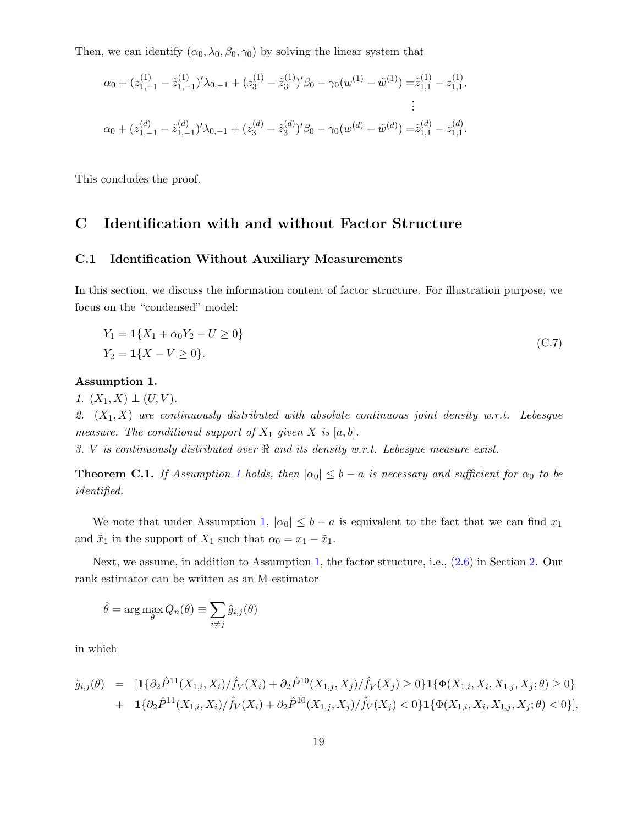Then, we can identify  $(\alpha_0, \lambda_0, \beta_0, \gamma_0)$  by solving the linear system that

$$
\alpha_0 + (z_{1,-1}^{(1)} - \tilde{z}_{1,-1}^{(1)})' \lambda_{0,-1} + (z_3^{(1)} - \tilde{z}_3^{(1)})' \beta_0 - \gamma_0 (w^{(1)} - \tilde{w}^{(1)}) = \tilde{z}_{1,1}^{(1)} - z_{1,1}^{(1)},
$$
  
\n
$$
\vdots
$$
  
\n
$$
\alpha_0 + (z_{1,-1}^{(d)} - \tilde{z}_{1,-1}^{(d)})' \lambda_{0,-1} + (z_3^{(d)} - \tilde{z}_3^{(d)})' \beta_0 - \gamma_0 (w^{(d)} - \tilde{w}^{(d)}) = \tilde{z}_{1,1}^{(d)} - z_{1,1}^{(d)}.
$$

This concludes the proof.

### <span id="page-18-0"></span>C Identification with and without Factor Structure

### C.1 Identification Without Auxiliary Measurements

In this section, we discuss the information content of factor structure. For illustration purpose, we focus on the "condensed" model:

<span id="page-18-3"></span>
$$
Y_1 = \mathbf{1}\{X_1 + \alpha_0 Y_2 - U \ge 0\}
$$
  
\n
$$
Y_2 = \mathbf{1}\{X - V \ge 0\}.
$$
\n(C.7)

#### <span id="page-18-1"></span>Assumption 1.

1.  $(X_1, X) \perp (U, V)$ .

2.  $(X_1, X)$  are continuously distributed with absolute continuous joint density w.r.t. Lebesgue measure. The conditional support of  $X_1$  given  $X$  is [a, b].

3. V is continuously distributed over  $\Re$  and its density w.r.t. Lebesgue measure exist.

<span id="page-18-2"></span>**Theorem C.[1](#page-18-1).** If Assumption 1 holds, then  $|\alpha_0| \leq b - a$  is necessary and sufficient for  $\alpha_0$  to be identified.

We note that under Assumption [1,](#page-18-1)  $|\alpha_0| \leq b - a$  is equivalent to the fact that we can find  $x_1$ and  $\tilde{x}_1$  in the support of  $X_1$  such that  $\alpha_0 = x_1 - \tilde{x}_1$ .

Next, we assume, in addition to Assumption [1,](#page-18-1) the factor structure, i.e., [\(2.6\)](#page-4-0) in Section [2.](#page-3-0) Our rank estimator can be written as an M-estimator

$$
\hat{\theta} = \arg \max_{\theta} Q_n(\theta) \equiv \sum_{i \neq j} \hat{g}_{i,j}(\theta)
$$

in which

$$
\hat{g}_{i,j}(\theta) = [1\{\partial_2 \hat{P}^{11}(X_{1,i}, X_i) / \hat{f}_V(X_i) + \partial_2 \hat{P}^{10}(X_{1,j}, X_j) / \hat{f}_V(X_j) \ge 0\} \mathbf{1}\{\Phi(X_{1,i}, X_i, X_{1,j}, X_j; \theta) \ge 0\} \n+ 1\{\partial_2 \hat{P}^{11}(X_{1,i}, X_i) / \hat{f}_V(X_i) + \partial_2 \hat{P}^{10}(X_{1,j}, X_j) / \hat{f}_V(X_j) < 0\} \mathbf{1}\{\Phi(X_{1,i}, X_i, X_{1,j}, X_j; \theta) < 0\}],
$$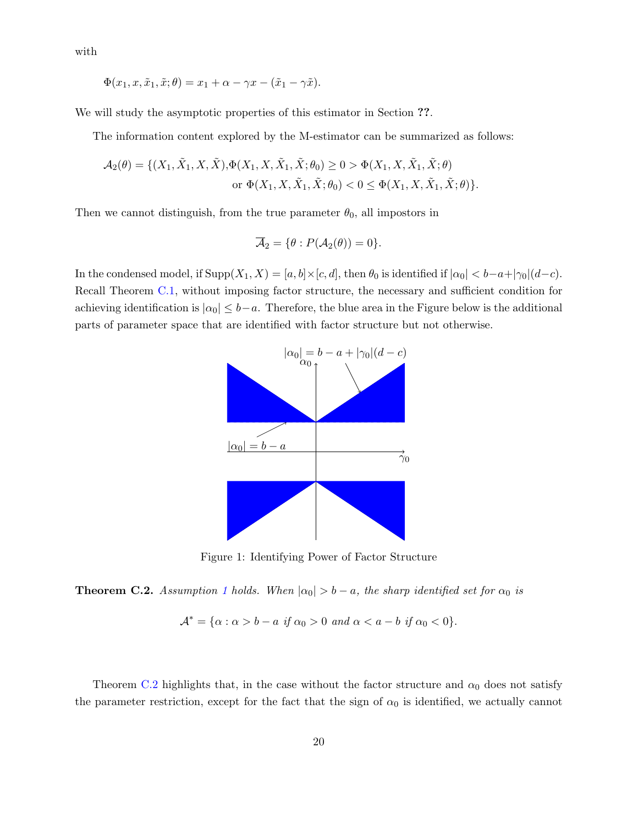with

$$
\Phi(x_1, x, \tilde{x}_1, \tilde{x}; \theta) = x_1 + \alpha - \gamma x - (\tilde{x}_1 - \gamma \tilde{x}).
$$

We will study the asymptotic properties of this estimator in Section ??.

The information content explored by the M-estimator can be summarized as follows:

$$
\mathcal{A}_2(\theta) = \{ (X_1, \tilde{X}_1, X, \tilde{X}), \Phi(X_1, X, \tilde{X}_1, \tilde{X}; \theta_0) \ge 0 > \Phi(X_1, X, \tilde{X}_1, \tilde{X}; \theta)
$$
  
or  $\Phi(X_1, X, \tilde{X}_1, \tilde{X}; \theta_0) < 0 \le \Phi(X_1, X, \tilde{X}_1, \tilde{X}; \theta) \}.$ 

Then we cannot distinguish, from the true parameter  $\theta_0$ , all impostors in

$$
\overline{\mathcal{A}}_2 = \{\theta : P(\mathcal{A}_2(\theta)) = 0\}.
$$

In the condensed model, if  $\text{Supp}(X_1, X) = [a, b] \times [c, d]$ , then  $\theta_0$  is identified if  $|\alpha_0| < b - a + |\gamma_0| (d - c)$ . Recall Theorem [C.1,](#page-18-2) without imposing factor structure, the necessary and sufficient condition for achieving identification is  $|\alpha_0| \leq b-a$ . Therefore, the blue area in the Figure below is the additional parts of parameter space that are identified with factor structure but not otherwise.



Figure 1: Identifying Power of Factor Structure

<span id="page-19-0"></span>**Theorem C.2.** Assumption [1](#page-18-1) holds. When  $|\alpha_0| > b - a$ , the sharp identified set for  $\alpha_0$  is

$$
\mathcal{A}^* = \{ \alpha : \alpha > b - a \text{ if } \alpha_0 > 0 \text{ and } \alpha < a - b \text{ if } \alpha_0 < 0 \}.
$$

Theorem [C.2](#page-19-0) highlights that, in the case without the factor structure and  $\alpha_0$  does not satisfy the parameter restriction, except for the fact that the sign of  $\alpha_0$  is identified, we actually cannot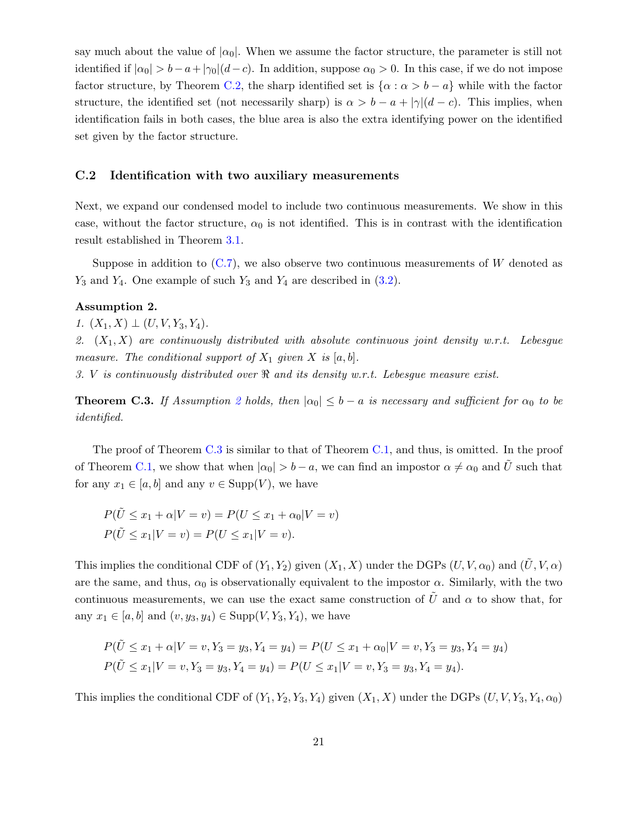say much about the value of  $|\alpha_0|$ . When we assume the factor structure, the parameter is still not identified if  $|\alpha_0| > b-a+|\gamma_0|(d-c)$ . In addition, suppose  $\alpha_0 > 0$ . In this case, if we do not impose factor structure, by Theorem [C.2,](#page-19-0) the sharp identified set is  $\{\alpha : \alpha > b - a\}$  while with the factor structure, the identified set (not necessarily sharp) is  $\alpha > b - a + |\gamma|(d - c)$ . This implies, when identification fails in both cases, the blue area is also the extra identifying power on the identified set given by the factor structure.

#### <span id="page-20-0"></span>C.2 Identification with two auxiliary measurements

Next, we expand our condensed model to include two continuous measurements. We show in this case, without the factor structure,  $\alpha_0$  is not identified. This is in contrast with the identification result established in Theorem [3.1.](#page-11-0)

Suppose in addition to  $(C.7)$ , we also observe two continuous measurements of W denoted as  $Y_3$  and  $Y_4$ . One example of such  $Y_3$  and  $Y_4$  are described in [\(3.2\)](#page-10-1).

#### <span id="page-20-1"></span>Assumption 2.

1.  $(X_1, X) \perp (U, V, Y_3, Y_4)$ .

2.  $(X_1, X)$  are continuously distributed with absolute continuous joint density w.r.t. Lebesgue measure. The conditional support of  $X_1$  given X is [a, b].

3. V is continuously distributed over  $\Re$  and its density w.r.t. Lebesgue measure exist.

<span id="page-20-2"></span>**Theorem C.3.** If Assumption [2](#page-20-1) holds, then  $|\alpha_0| \leq b - a$  is necessary and sufficient for  $\alpha_0$  to be identified.

The proof of Theorem [C.3](#page-20-2) is similar to that of Theorem [C.1,](#page-18-2) and thus, is omitted. In the proof of Theorem [C.1,](#page-18-2) we show that when  $|\alpha_0| > b - a$ , we can find an impostor  $\alpha \neq \alpha_0$  and  $\tilde{U}$  such that for any  $x_1 \in [a, b]$  and any  $v \in \text{Supp}(V)$ , we have

$$
P(\tilde{U} \le x_1 + \alpha | V = v) = P(U \le x_1 + \alpha_0 | V = v)
$$
  

$$
P(\tilde{U} \le x_1 | V = v) = P(U \le x_1 | V = v).
$$

This implies the conditional CDF of  $(Y_1, Y_2)$  given  $(X_1, X)$  under the DGPs  $(U, V, \alpha_0)$  and  $(\tilde{U}, V, \alpha)$ are the same, and thus,  $\alpha_0$  is observationally equivalent to the impostor  $\alpha$ . Similarly, with the two continuous measurements, we can use the exact same construction of  $\tilde{U}$  and  $\alpha$  to show that, for any  $x_1 \in [a, b]$  and  $(v, y_3, y_4) \in \text{Supp}(V, Y_3, Y_4)$ , we have

$$
P(\tilde{U} \le x_1 + \alpha | V = v, Y_3 = y_3, Y_4 = y_4) = P(U \le x_1 + \alpha_0 | V = v, Y_3 = y_3, Y_4 = y_4)
$$
  

$$
P(\tilde{U} \le x_1 | V = v, Y_3 = y_3, Y_4 = y_4) = P(U \le x_1 | V = v, Y_3 = y_3, Y_4 = y_4).
$$

This implies the conditional CDF of  $(Y_1, Y_2, Y_3, Y_4)$  given  $(X_1, X)$  under the DGPs  $(U, V, Y_3, Y_4, \alpha_0)$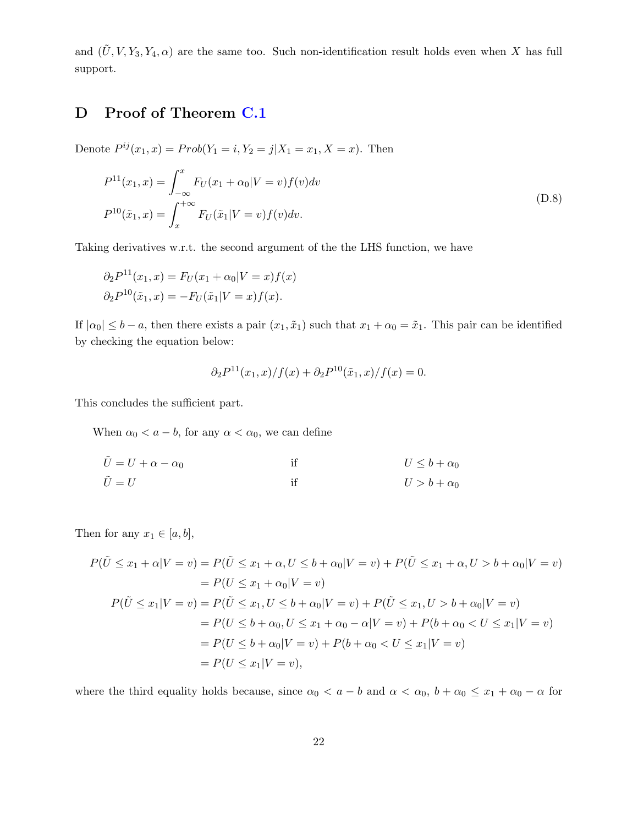and  $(\tilde{U}, V, Y_3, Y_4, \alpha)$  are the same too. Such non-identification result holds even when X has full support.

## <span id="page-21-0"></span>D Proof of Theorem [C.1](#page-18-2)

Denote  $P^{ij}(x_1, x) = Prob(Y_1 = i, Y_2 = j | X_1 = x_1, X = x)$ . Then

<span id="page-21-1"></span>
$$
P^{11}(x_1, x) = \int_{-\infty}^{x} F_U(x_1 + \alpha_0 | V = v) f(v) dv
$$
  
\n
$$
P^{10}(\tilde{x}_1, x) = \int_{x}^{+\infty} F_U(\tilde{x}_1 | V = v) f(v) dv.
$$
\n(D.8)

Taking derivatives w.r.t. the second argument of the the LHS function, we have

$$
\partial_2 P^{11}(x_1, x) = F_U(x_1 + \alpha_0 | V = x) f(x)
$$
  

$$
\partial_2 P^{10}(\tilde{x}_1, x) = -F_U(\tilde{x}_1 | V = x) f(x).
$$

If  $|\alpha_0| \leq b - a$ , then there exists a pair  $(x_1, \tilde{x}_1)$  such that  $x_1 + \alpha_0 = \tilde{x}_1$ . This pair can be identified by checking the equation below:

$$
\partial_2 P^{11}(x_1, x) / f(x) + \partial_2 P^{10}(\tilde{x}_1, x) / f(x) = 0.
$$

This concludes the sufficient part.

When  $\alpha_0 < a - b$ , for any  $\alpha < \alpha_0$ , we can define

$$
\tilde{U} = U + \alpha - \alpha_0 \qquad \text{if} \qquad U \leq b + \alpha_0
$$
  

$$
\tilde{U} = U \qquad \text{if} \qquad U > b + \alpha_0
$$

Then for any  $x_1 \in [a, b]$ ,

$$
P(\tilde{U} \le x_1 + \alpha | V = v) = P(\tilde{U} \le x_1 + \alpha, U \le b + \alpha_0 | V = v) + P(\tilde{U} \le x_1 + \alpha, U > b + \alpha_0 | V = v)
$$
  
=  $P(U \le x_1 + \alpha_0 | V = v)$   

$$
P(\tilde{U} \le x_1 | V = v) = P(\tilde{U} \le x_1, U \le b + \alpha_0 | V = v) + P(\tilde{U} \le x_1, U > b + \alpha_0 | V = v)
$$
  
=  $P(U \le b + \alpha_0, U \le x_1 + \alpha_0 - \alpha | V = v) + P(b + \alpha_0 < U \le x_1 | V = v)$   
=  $P(U \le b + \alpha_0 | V = v) + P(b + \alpha_0 < U \le x_1 | V = v)$   
=  $P(U \le x_1 | V = v)$ ,

where the third equality holds because, since  $\alpha_0 < a - b$  and  $\alpha < \alpha_0$ ,  $b + \alpha_0 \leq x_1 + \alpha_0 - \alpha$  for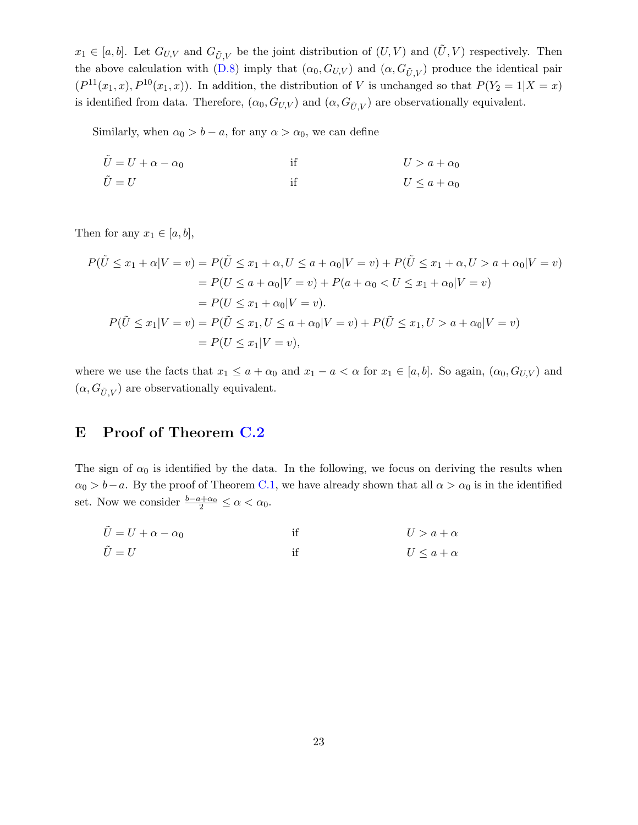$x_1 \in [a, b]$ . Let  $G_{U,V}$  and  $G_{\tilde{U},V}$  be the joint distribution of  $(U, V)$  and  $(\tilde{U}, V)$  respectively. Then the above calculation with [\(D.8\)](#page-21-1) imply that  $(\alpha_0, G_{U,V})$  and  $(\alpha, G_{\tilde{U},V})$  produce the identical pair  $(P^{11}(x_1,x), P^{10}(x_1,x))$ . In addition, the distribution of V is unchanged so that  $P(Y_2 = 1 | X = x)$ is identified from data. Therefore,  $(\alpha_0, G_{U,V})$  and  $(\alpha, G_{\tilde{U},V})$  are observationally equivalent.

Similarly, when  $\alpha_0 > b - a$ , for any  $\alpha > \alpha_0$ , we can define

$$
\tilde{U} = U + \alpha - \alpha_0 \qquad \text{if} \qquad U > a + \alpha_0
$$
  

$$
\tilde{U} = U \qquad \text{if} \qquad U \leq a + \alpha_0
$$

Then for any  $x_1 \in [a, b]$ ,

$$
P(\tilde{U} \le x_1 + \alpha | V = v) = P(\tilde{U} \le x_1 + \alpha, U \le a + \alpha_0 | V = v) + P(\tilde{U} \le x_1 + \alpha, U > a + \alpha_0 | V = v)
$$
  
=  $P(U \le a + \alpha_0 | V = v) + P(a + \alpha_0 < U \le x_1 + \alpha_0 | V = v)$   
=  $P(U \le x_1 + \alpha_0 | V = v)$ .  

$$
P(\tilde{U} \le x_1 | V = v) = P(\tilde{U} \le x_1, U \le a + \alpha_0 | V = v) + P(\tilde{U} \le x_1, U > a + \alpha_0 | V = v)
$$
  
=  $P(U \le x_1 | V = v)$ ,

where we use the facts that  $x_1 \le a + \alpha_0$  and  $x_1 - a < \alpha$  for  $x_1 \in [a, b]$ . So again,  $(\alpha_0, G_{U,V})$  and  $(\alpha, G_{\tilde{U}, V})$  are observationally equivalent.

### <span id="page-22-0"></span>E Proof of Theorem [C.2](#page-19-0)

The sign of  $\alpha_0$  is identified by the data. In the following, we focus on deriving the results when  $\alpha_0 > b-a$ . By the proof of Theorem [C.1,](#page-18-2) we have already shown that all  $\alpha > \alpha_0$  is in the identified set. Now we consider  $\frac{b-a+\alpha_0}{2} \leq \alpha < \alpha_0$ .

$$
\tilde{U} = U + \alpha - \alpha_0 \qquad \text{if} \qquad U > a + \alpha
$$
\n
$$
\tilde{U} = U \qquad \text{if} \qquad U \leq a + \alpha
$$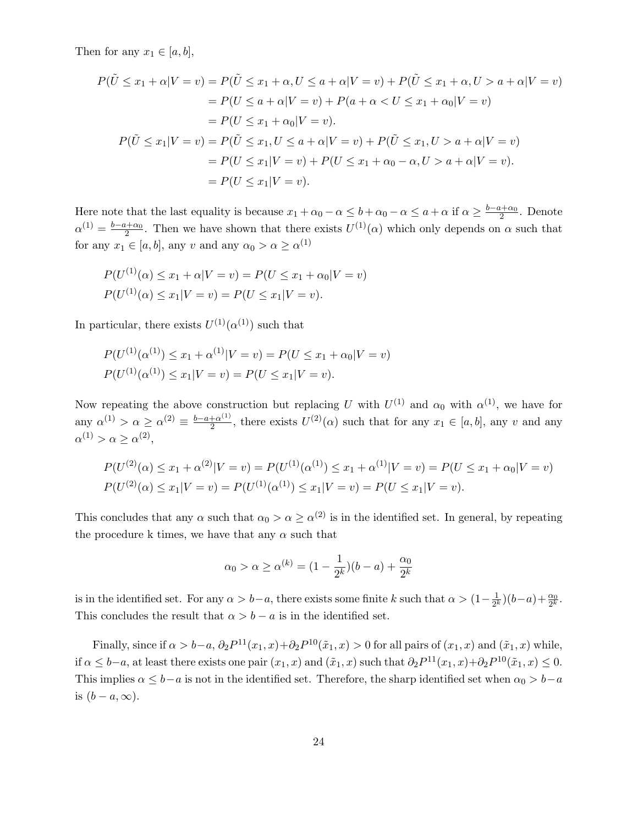Then for any  $x_1 \in [a, b]$ ,

$$
P(\tilde{U} \le x_1 + \alpha | V = v) = P(\tilde{U} \le x_1 + \alpha, U \le a + \alpha | V = v) + P(\tilde{U} \le x_1 + \alpha, U > a + \alpha | V = v)
$$
  
=  $P(U \le a + \alpha | V = v) + P(a + \alpha < U \le x_1 + \alpha_0 | V = v)$   
=  $P(U \le x_1 + \alpha_0 | V = v)$ .  

$$
P(\tilde{U} \le x_1 | V = v) = P(\tilde{U} \le x_1, U \le a + \alpha | V = v) + P(\tilde{U} \le x_1, U > a + \alpha | V = v)
$$
  
=  $P(U \le x_1 | V = v) + P(U \le x_1 + \alpha_0 - \alpha, U > a + \alpha | V = v)$ .  
=  $P(U \le x_1 | V = v)$ .

Here note that the last equality is because  $x_1 + \alpha_0 - \alpha \leq b + \alpha_0 - \alpha \leq a + \alpha$  if  $\alpha \geq \frac{b - a + \alpha_0}{2}$ . Denote  $\alpha^{(1)} = \frac{b-a+\alpha_0}{2}$ . Then we have shown that there exists  $U^{(1)}(\alpha)$  which only depends on  $\alpha$  such that for any  $x_1 \in [a, b]$ , any v and any  $\alpha_0 > \alpha \ge \alpha^{(1)}$ 

$$
P(U^{(1)}(\alpha) \le x_1 + \alpha | V = v) = P(U \le x_1 + \alpha_0 | V = v)
$$
  
 
$$
P(U^{(1)}(\alpha) \le x_1 | V = v) = P(U \le x_1 | V = v).
$$

In particular, there exists  $U^{(1)}(\alpha^{(1)})$  such that

$$
P(U^{(1)}(\alpha^{(1)}) \le x_1 + \alpha^{(1)}|V = v) = P(U \le x_1 + \alpha_0|V = v)
$$
  

$$
P(U^{(1)}(\alpha^{(1)}) \le x_1|V = v) = P(U \le x_1|V = v).
$$

Now repeating the above construction but replacing U with  $U^{(1)}$  and  $\alpha_0$  with  $\alpha^{(1)}$ , we have for any  $\alpha^{(1)} > \alpha \ge \alpha^{(2)} \equiv \frac{b-a+\alpha^{(1)}}{2}$  $\frac{1}{2} \alpha^{(1)}$ , there exists  $U^{(2)}(\alpha)$  such that for any  $x_1 \in [a, b]$ , any v and any  $\alpha^{(1)} > \alpha \geq \alpha^{(2)},$ 

$$
P(U^{(2)}(\alpha) \le x_1 + \alpha^{(2)} | V = v) = P(U^{(1)}(\alpha^{(1)}) \le x_1 + \alpha^{(1)} | V = v) = P(U \le x_1 + \alpha_0 | V = v)
$$
  

$$
P(U^{(2)}(\alpha) \le x_1 | V = v) = P(U^{(1)}(\alpha^{(1)}) \le x_1 | V = v) = P(U \le x_1 | V = v).
$$

This concludes that any  $\alpha$  such that  $\alpha_0 > \alpha \ge \alpha^{(2)}$  is in the identified set. In general, by repeating the procedure k times, we have that any  $\alpha$  such that

$$
\alpha_0 > \alpha \ge \alpha^{(k)} = (1 - \frac{1}{2^k})(b - a) + \frac{\alpha_0}{2^k}
$$

is in the identified set. For any  $\alpha > b-a$ , there exists some finite k such that  $\alpha > (1-\frac{1}{2k})$  $(\frac{1}{2^k})(b-a)+\frac{\alpha_0}{2^k}.$ This concludes the result that  $\alpha > b - a$  is in the identified set.

Finally, since if  $\alpha > b-a$ ,  $\partial_2 P^{11}(x_1, x) + \partial_2 P^{10}(\tilde{x}_1, x) > 0$  for all pairs of  $(x_1, x)$  and  $(\tilde{x}_1, x)$  while, if  $\alpha \leq b-a$ , at least there exists one pair  $(x_1, x)$  and  $(\tilde{x}_1, x)$  such that  $\partial_2 P^{11}(x_1, x) + \partial_2 P^{10}(\tilde{x}_1, x) \leq 0$ . This implies  $\alpha \leq b-a$  is not in the identified set. Therefore, the sharp identified set when  $\alpha_0 > b-a$ is  $(b - a, \infty)$ .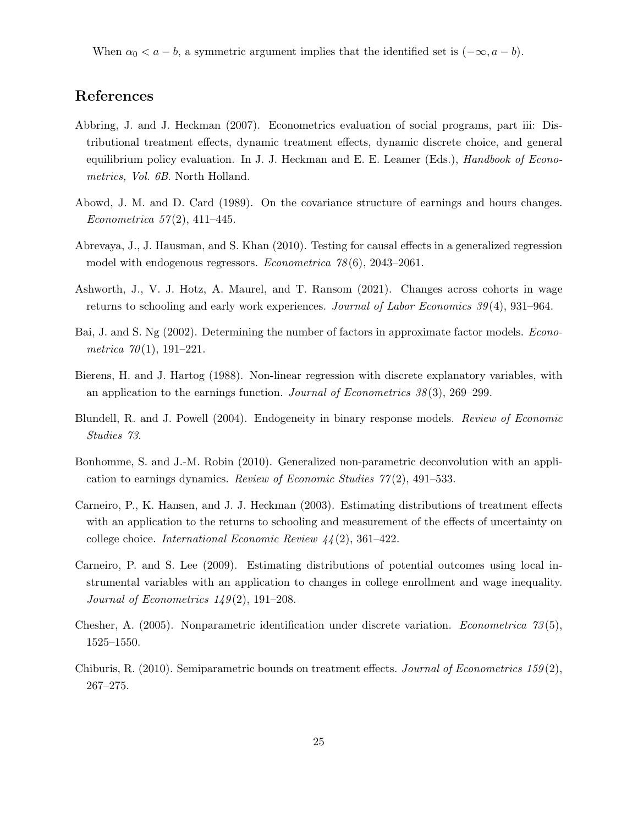When  $\alpha_0 < a - b$ , a symmetric argument implies that the identified set is  $(-\infty, a - b)$ .

### References

- <span id="page-24-5"></span>Abbring, J. and J. Heckman (2007). Econometrics evaluation of social programs, part iii: Distributional treatment effects, dynamic treatment effects, dynamic discrete choice, and general equilibrium policy evaluation. In J. J. Heckman and E. E. Leamer (Eds.), Handbook of Econometrics, *Vol. 6B*. North Holland.
- <span id="page-24-0"></span>Abowd, J. M. and D. Card (1989). On the covariance structure of earnings and hours changes. Econometrica  $57(2)$ , 411–445.
- <span id="page-24-7"></span>Abrevaya, J., J. Hausman, and S. Khan (2010). Testing for causal effects in a generalized regression model with endogenous regressors. Econometrica 78 (6), 2043–2061.
- <span id="page-24-2"></span>Ashworth, J., V. J. Hotz, A. Maurel, and T. Ransom (2021). Changes across cohorts in wage returns to schooling and early work experiences. Journal of Labor Economics 39 (4), 931–964.
- <span id="page-24-9"></span>Bai, J. and S. Ng (2002). Determining the number of factors in approximate factor models. *Econo*metrica  $70(1)$ , 191-221.
- <span id="page-24-10"></span>Bierens, H. and J. Hartog (1988). Non-linear regression with discrete explanatory variables, with an application to the earnings function. Journal of Econometrics  $38(3)$ , 269–299.
- <span id="page-24-3"></span>Blundell, R. and J. Powell (2004). Endogeneity in binary response models. Review of Economic Studies 73.
- <span id="page-24-1"></span>Bonhomme, S. and J.-M. Robin (2010). Generalized non-parametric deconvolution with an application to earnings dynamics. Review of Economic Studies  $77(2)$ , 491–533.
- <span id="page-24-6"></span>Carneiro, P., K. Hansen, and J. J. Heckman (2003). Estimating distributions of treatment effects with an application to the returns to schooling and measurement of the effects of uncertainty on college choice. International Economic Review 44 (2), 361–422.
- <span id="page-24-11"></span>Carneiro, P. and S. Lee (2009). Estimating distributions of potential outcomes using local instrumental variables with an application to changes in college enrollment and wage inequality. Journal of Econometrics  $149(2)$ , 191–208.
- <span id="page-24-4"></span>Chesher, A. (2005). Nonparametric identification under discrete variation. *Econometrica* 73(5), 1525–1550.
- <span id="page-24-8"></span>Chiburis, R. (2010). Semiparametric bounds on treatment effects. Journal of Econometrics 159(2), 267–275.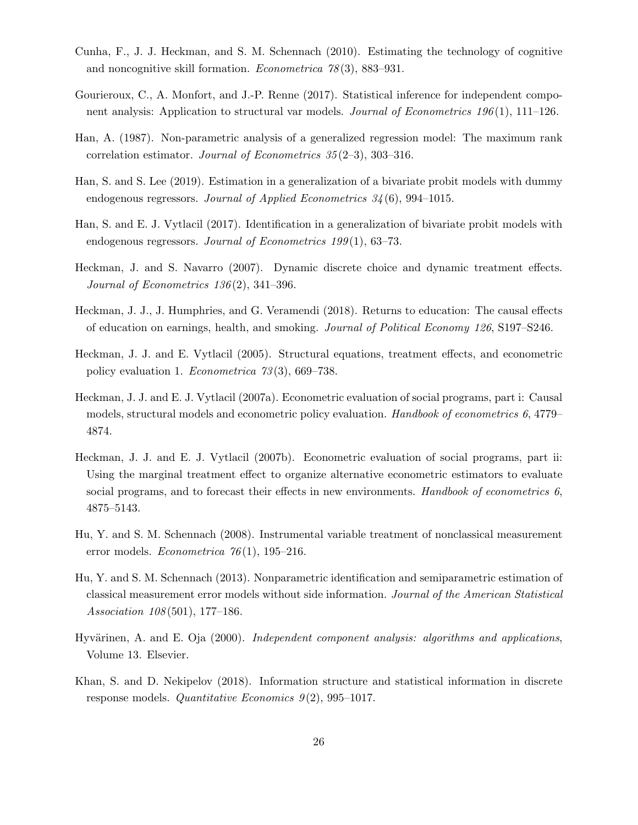- <span id="page-25-0"></span>Cunha, F., J. J. Heckman, and S. M. Schennach (2010). Estimating the technology of cognitive and noncognitive skill formation. *Econometrica*  $78(3)$ , 883–931.
- <span id="page-25-7"></span>Gourieroux, C., A. Monfort, and J.-P. Renne (2017). Statistical inference for independent component analysis: Application to structural var models. Journal of Econometrics 196(1), 111–126.
- <span id="page-25-8"></span>Han, A. (1987). Non-parametric analysis of a generalized regression model: The maximum rank correlation estimator. Journal of Econometrics 35 (2–3), 303–316.
- <span id="page-25-9"></span>Han, S. and S. Lee (2019). Estimation in a generalization of a bivariate probit models with dummy endogenous regressors. Journal of Applied Econometrics 34 (6), 994–1015.
- <span id="page-25-3"></span>Han, S. and E. J. Vytlacil (2017). Identification in a generalization of bivariate probit models with endogenous regressors. Journal of Econometrics 199(1), 63–73.
- <span id="page-25-13"></span>Heckman, J. and S. Navarro (2007). Dynamic discrete choice and dynamic treatment effects. Journal of Econometrics 136 (2), 341–396.
- <span id="page-25-4"></span>Heckman, J. J., J. Humphries, and G. Veramendi (2018). Returns to education: The causal effects of education on earnings, health, and smoking. Journal of Political Economy 126, S197–S246.
- <span id="page-25-10"></span>Heckman, J. J. and E. Vytlacil (2005). Structural equations, treatment effects, and econometric policy evaluation 1. Econometrica 73 (3), 669–738.
- <span id="page-25-1"></span>Heckman, J. J. and E. J. Vytlacil (2007a). Econometric evaluation of social programs, part i: Causal models, structural models and econometric policy evaluation. Handbook of econometrics 6, 4779– 4874.
- <span id="page-25-2"></span>Heckman, J. J. and E. J. Vytlacil (2007b). Econometric evaluation of social programs, part ii: Using the marginal treatment effect to organize alternative econometric estimators to evaluate social programs, and to forecast their effects in new environments. Handbook of econometrics  $6$ , 4875–5143.
- <span id="page-25-12"></span>Hu, Y. and S. M. Schennach (2008). Instrumental variable treatment of nonclassical measurement error models. *Econometrica*  $76(1)$ , 195–216.
- <span id="page-25-11"></span>Hu, Y. and S. M. Schennach (2013). Nonparametric identification and semiparametric estimation of classical measurement error models without side information. Journal of the American Statistical Association 108 (501), 177–186.
- <span id="page-25-6"></span>Hyvärinen, A. and E. Oja  $(2000)$ . Independent component analysis: algorithms and applications, Volume 13. Elsevier.
- <span id="page-25-5"></span>Khan, S. and D. Nekipelov (2018). Information structure and statistical information in discrete response models. Quantitative Economics  $9(2)$ , 995–1017.